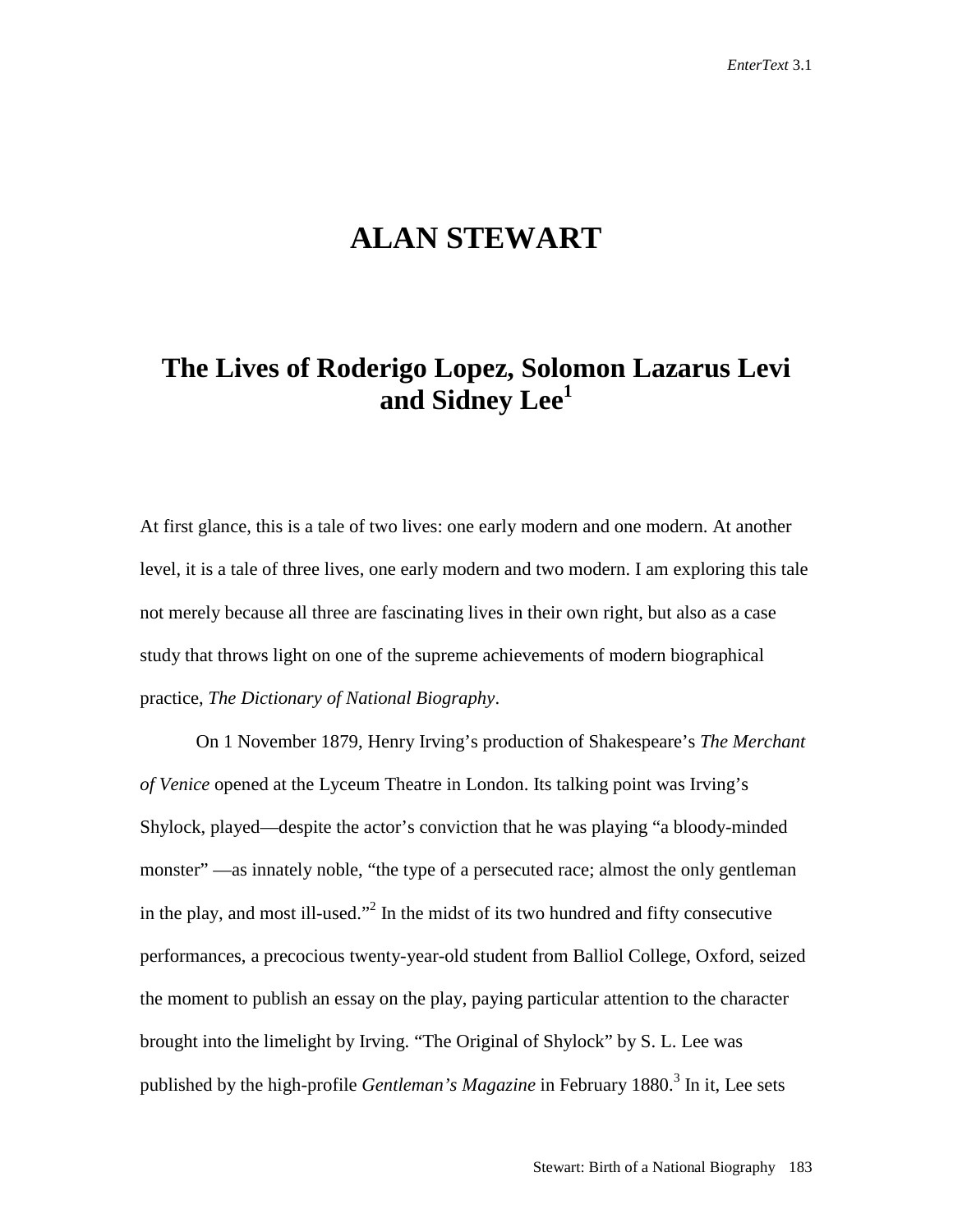## **ALAN STEWART**

## **The Lives of Roderigo Lopez, Solomon Lazarus Levi and Sidney Lee1**

At first glance, this is a tale of two lives: one early modern and one modern. At another level, it is a tale of three lives, one early modern and two modern. I am exploring this tale not merely because all three are fascinating lives in their own right, but also as a case study that throws light on one of the supreme achievements of modern biographical practice, *The Dictionary of National Biography*.

On 1 November 1879, Henry Irving's production of Shakespeare's *The Merchant of Venice* opened at the Lyceum Theatre in London. Its talking point was Irving's Shylock, played—despite the actor's conviction that he was playing "a bloody-minded monster" —as innately noble, "the type of a persecuted race; almost the only gentleman in the play, and most ill-used."<sup>2</sup> In the midst of its two hundred and fifty consecutive performances, a precocious twenty-year-old student from Balliol College, Oxford, seized the moment to publish an essay on the play, paying particular attention to the character brought into the limelight by Irving. "The Original of Shylock" by S. L. Lee was published by the high-profile *Gentleman's Magazine* in February 1880.<sup>3</sup> In it, Lee sets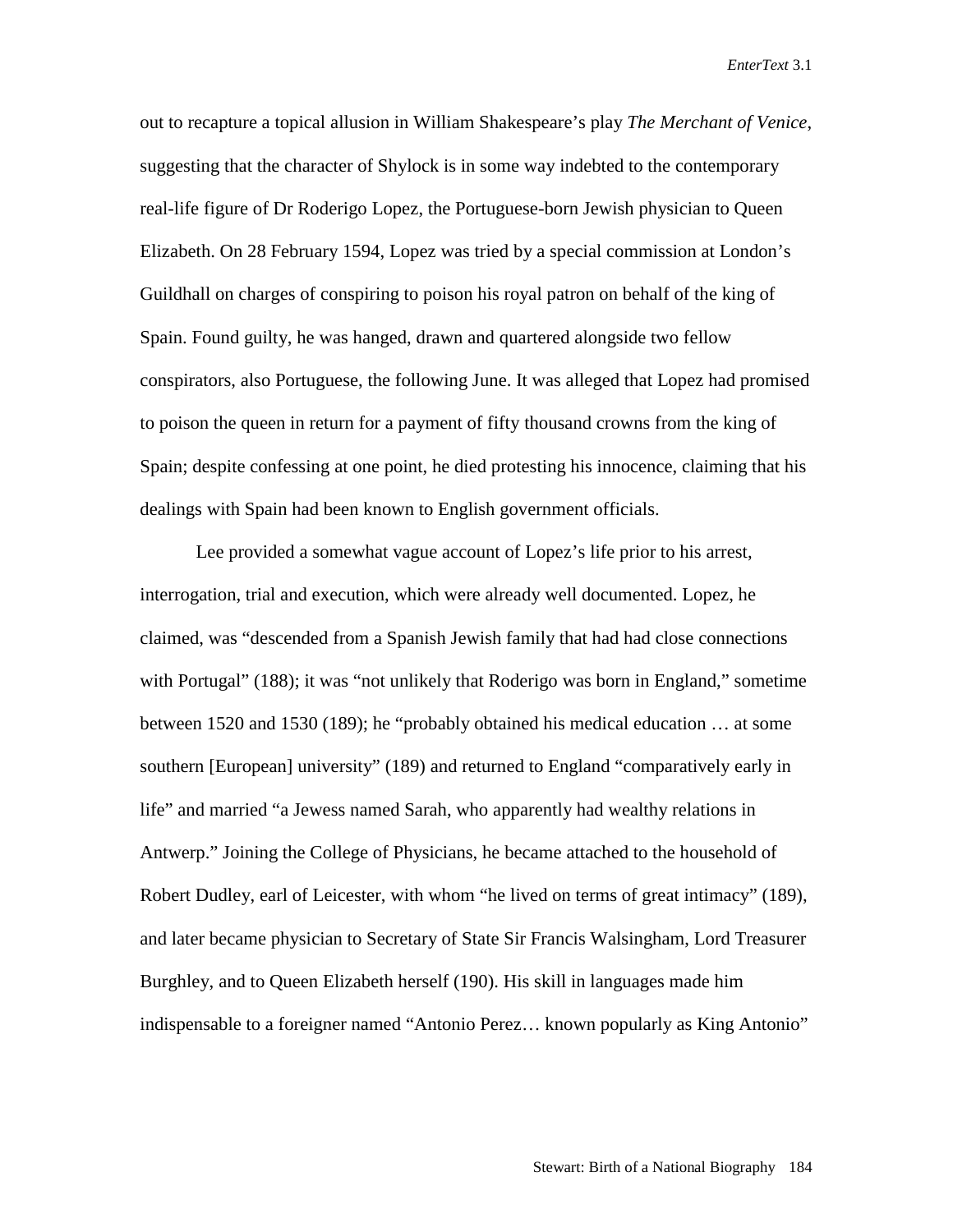out to recapture a topical allusion in William Shakespeare's play *The Merchant of Venice*, suggesting that the character of Shylock is in some way indebted to the contemporary real-life figure of Dr Roderigo Lopez, the Portuguese-born Jewish physician to Queen Elizabeth. On 28 February 1594, Lopez was tried by a special commission at London's Guildhall on charges of conspiring to poison his royal patron on behalf of the king of Spain. Found guilty, he was hanged, drawn and quartered alongside two fellow conspirators, also Portuguese, the following June. It was alleged that Lopez had promised to poison the queen in return for a payment of fifty thousand crowns from the king of Spain; despite confessing at one point, he died protesting his innocence, claiming that his dealings with Spain had been known to English government officials.

Lee provided a somewhat vague account of Lopez's life prior to his arrest, interrogation, trial and execution, which were already well documented. Lopez, he claimed, was "descended from a Spanish Jewish family that had had close connections with Portugal" (188); it was "not unlikely that Roderigo was born in England," sometime between 1520 and 1530 (189); he "probably obtained his medical education … at some southern [European] university" (189) and returned to England "comparatively early in life" and married "a Jewess named Sarah, who apparently had wealthy relations in Antwerp." Joining the College of Physicians, he became attached to the household of Robert Dudley, earl of Leicester, with whom "he lived on terms of great intimacy" (189), and later became physician to Secretary of State Sir Francis Walsingham, Lord Treasurer Burghley, and to Queen Elizabeth herself (190). His skill in languages made him indispensable to a foreigner named "Antonio Perez… known popularly as King Antonio"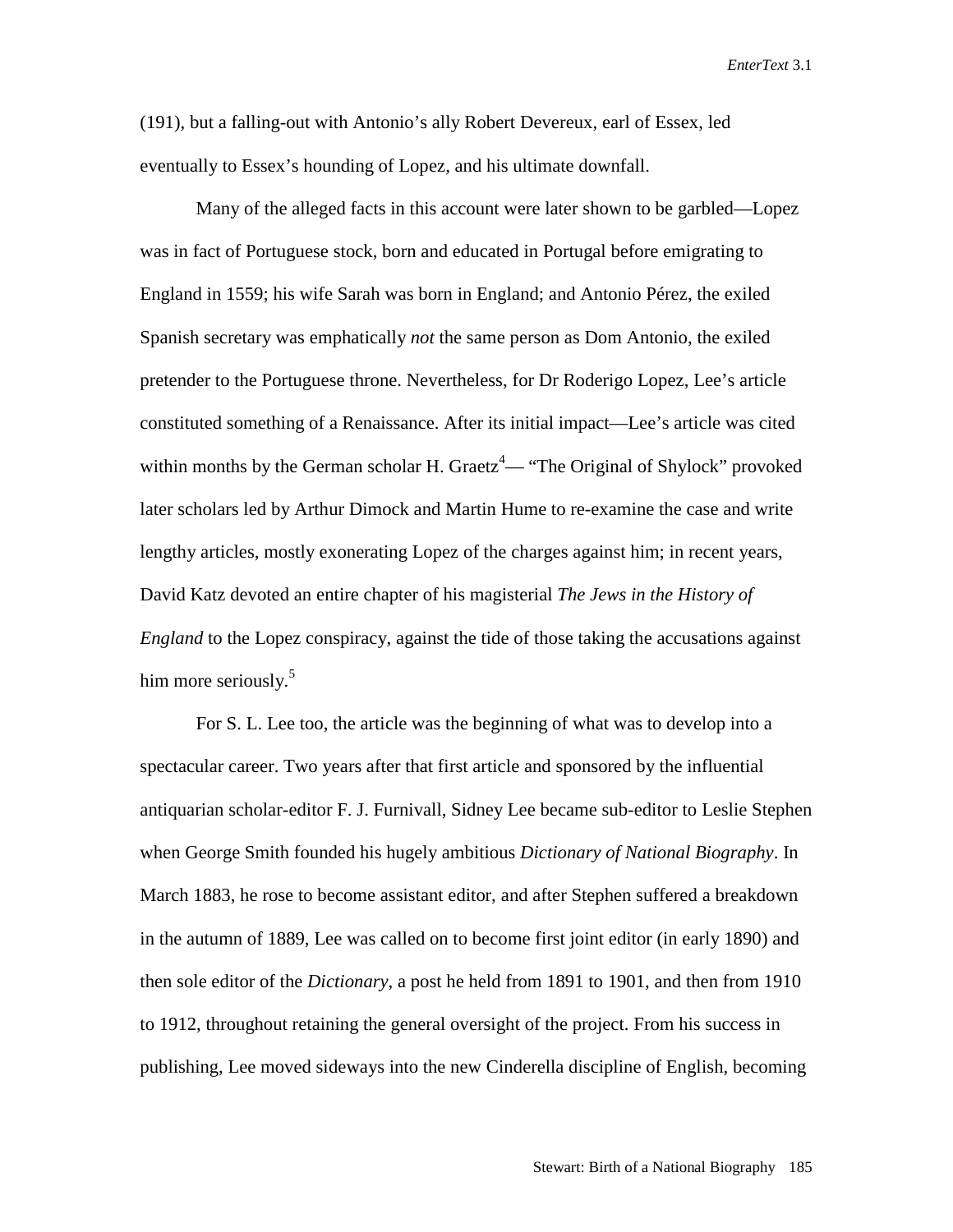(191), but a falling-out with Antonio's ally Robert Devereux, earl of Essex, led eventually to Essex's hounding of Lopez, and his ultimate downfall.

Many of the alleged facts in this account were later shown to be garbled—Lopez was in fact of Portuguese stock, born and educated in Portugal before emigrating to England in 1559; his wife Sarah was born in England; and Antonio Pérez, the exiled Spanish secretary was emphatically *not* the same person as Dom Antonio, the exiled pretender to the Portuguese throne. Nevertheless, for Dr Roderigo Lopez, Lee's article constituted something of a Renaissance. After its initial impact—Lee's article was cited within months by the German scholar H. Graetz<sup>4</sup>— "The Original of Shylock" provoked later scholars led by Arthur Dimock and Martin Hume to re-examine the case and write lengthy articles, mostly exonerating Lopez of the charges against him; in recent years, David Katz devoted an entire chapter of his magisterial *The Jews in the History of England* to the Lopez conspiracy, against the tide of those taking the accusations against him more seriously.<sup>5</sup>

For S. L. Lee too, the article was the beginning of what was to develop into a spectacular career. Two years after that first article and sponsored by the influential antiquarian scholar-editor F. J. Furnivall, Sidney Lee became sub-editor to Leslie Stephen when George Smith founded his hugely ambitious *Dictionary of National Biography*. In March 1883, he rose to become assistant editor, and after Stephen suffered a breakdown in the autumn of 1889, Lee was called on to become first joint editor (in early 1890) and then sole editor of the *Dictionary*, a post he held from 1891 to 1901, and then from 1910 to 1912, throughout retaining the general oversight of the project. From his success in publishing, Lee moved sideways into the new Cinderella discipline of English, becoming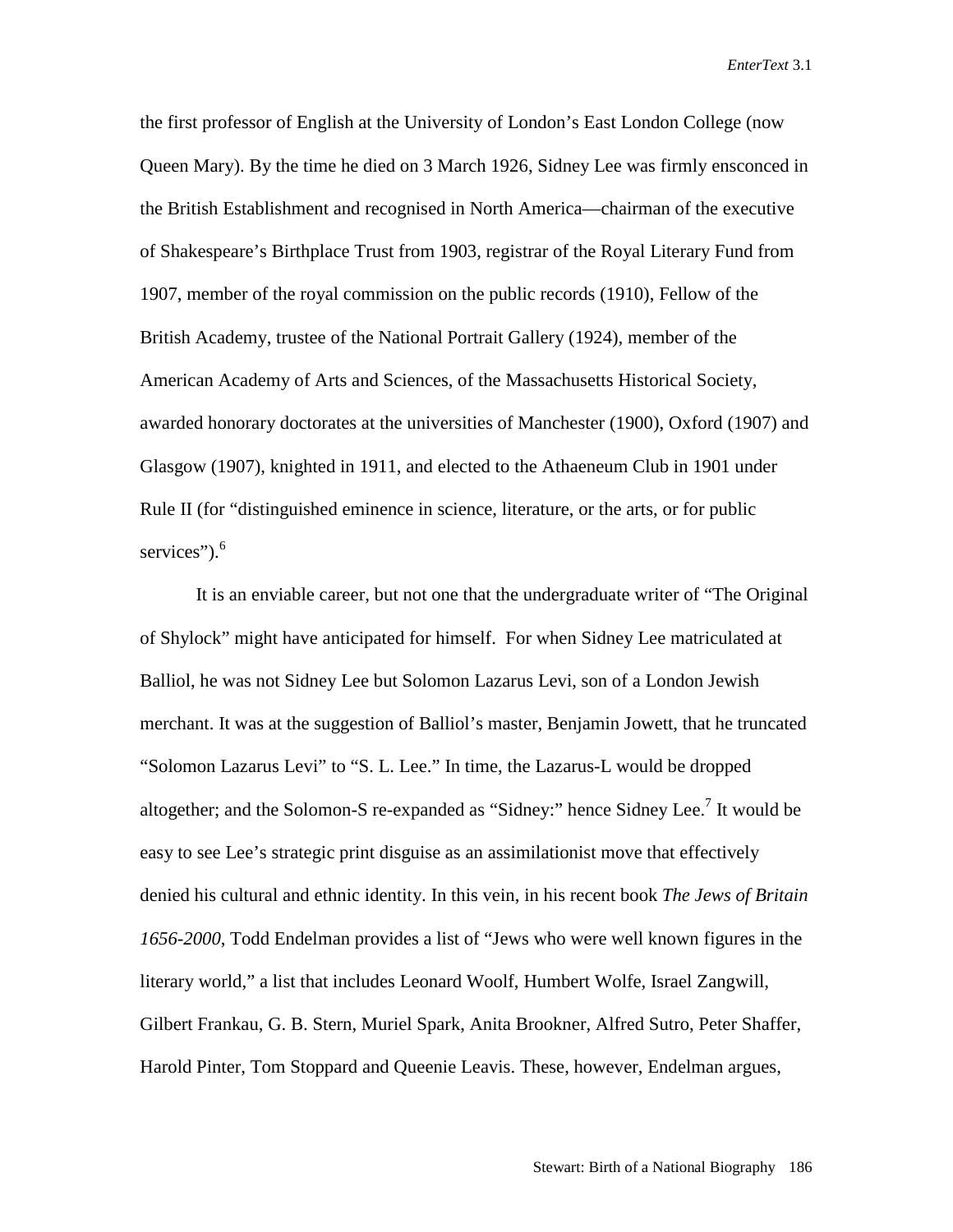the first professor of English at the University of London's East London College (now Queen Mary). By the time he died on 3 March 1926, Sidney Lee was firmly ensconced in the British Establishment and recognised in North America—chairman of the executive of Shakespeare's Birthplace Trust from 1903, registrar of the Royal Literary Fund from 1907, member of the royal commission on the public records (1910), Fellow of the British Academy, trustee of the National Portrait Gallery (1924), member of the American Academy of Arts and Sciences, of the Massachusetts Historical Society, awarded honorary doctorates at the universities of Manchester (1900), Oxford (1907) and Glasgow (1907), knighted in 1911, and elected to the Athaeneum Club in 1901 under Rule II (for "distinguished eminence in science, literature, or the arts, or for public services"). $6$ 

It is an enviable career, but not one that the undergraduate writer of "The Original of Shylock" might have anticipated for himself. For when Sidney Lee matriculated at Balliol, he was not Sidney Lee but Solomon Lazarus Levi, son of a London Jewish merchant. It was at the suggestion of Balliol's master, Benjamin Jowett, that he truncated "Solomon Lazarus Levi" to "S. L. Lee." In time, the Lazarus-L would be dropped altogether; and the Solomon-S re-expanded as "Sidney:" hence Sidney Lee.<sup>7</sup> It would be easy to see Lee's strategic print disguise as an assimilationist move that effectively denied his cultural and ethnic identity. In this vein, in his recent book *The Jews of Britain 1656-2000*, Todd Endelman provides a list of "Jews who were well known figures in the literary world," a list that includes Leonard Woolf, Humbert Wolfe, Israel Zangwill, Gilbert Frankau, G. B. Stern, Muriel Spark, Anita Brookner, Alfred Sutro, Peter Shaffer, Harold Pinter, Tom Stoppard and Queenie Leavis. These, however, Endelman argues,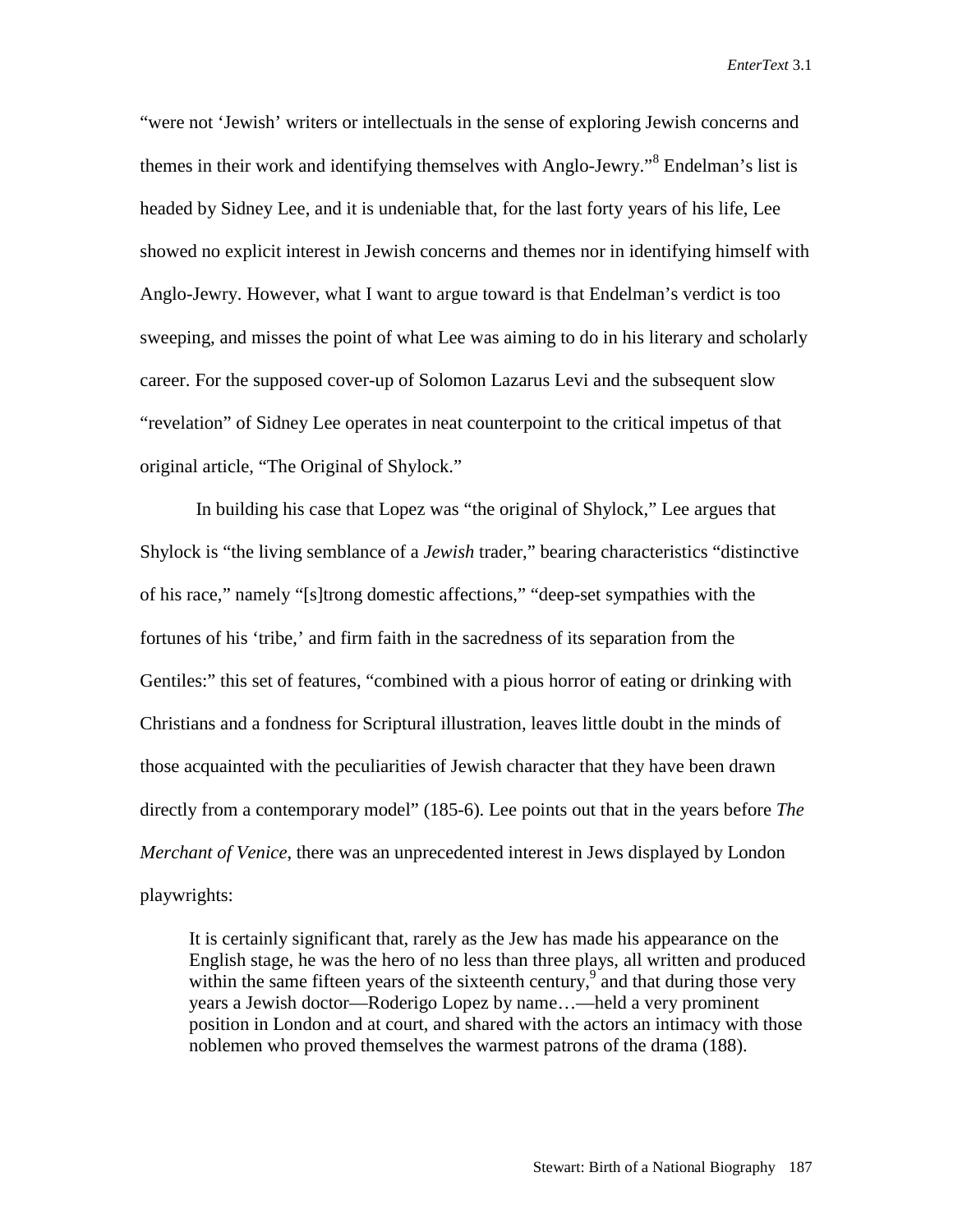"were not 'Jewish' writers or intellectuals in the sense of exploring Jewish concerns and themes in their work and identifying themselves with Anglo-Jewry."<sup>8</sup> Endelman's list is headed by Sidney Lee, and it is undeniable that, for the last forty years of his life, Lee showed no explicit interest in Jewish concerns and themes nor in identifying himself with Anglo-Jewry. However, what I want to argue toward is that Endelman's verdict is too sweeping, and misses the point of what Lee was aiming to do in his literary and scholarly career. For the supposed cover-up of Solomon Lazarus Levi and the subsequent slow "revelation" of Sidney Lee operates in neat counterpoint to the critical impetus of that original article, "The Original of Shylock."

In building his case that Lopez was "the original of Shylock," Lee argues that Shylock is "the living semblance of a *Jewish* trader," bearing characteristics "distinctive of his race," namely "[s]trong domestic affections," "deep-set sympathies with the fortunes of his 'tribe,' and firm faith in the sacredness of its separation from the Gentiles:" this set of features, "combined with a pious horror of eating or drinking with Christians and a fondness for Scriptural illustration, leaves little doubt in the minds of those acquainted with the peculiarities of Jewish character that they have been drawn directly from a contemporary model" (185-6). Lee points out that in the years before *The Merchant of Venice*, there was an unprecedented interest in Jews displayed by London playwrights:

It is certainly significant that, rarely as the Jew has made his appearance on the English stage, he was the hero of no less than three plays, all written and produced within the same fifteen years of the sixteenth century,<sup>9</sup> and that during those very years a Jewish doctor—Roderigo Lopez by name…—held a very prominent position in London and at court, and shared with the actors an intimacy with those noblemen who proved themselves the warmest patrons of the drama (188).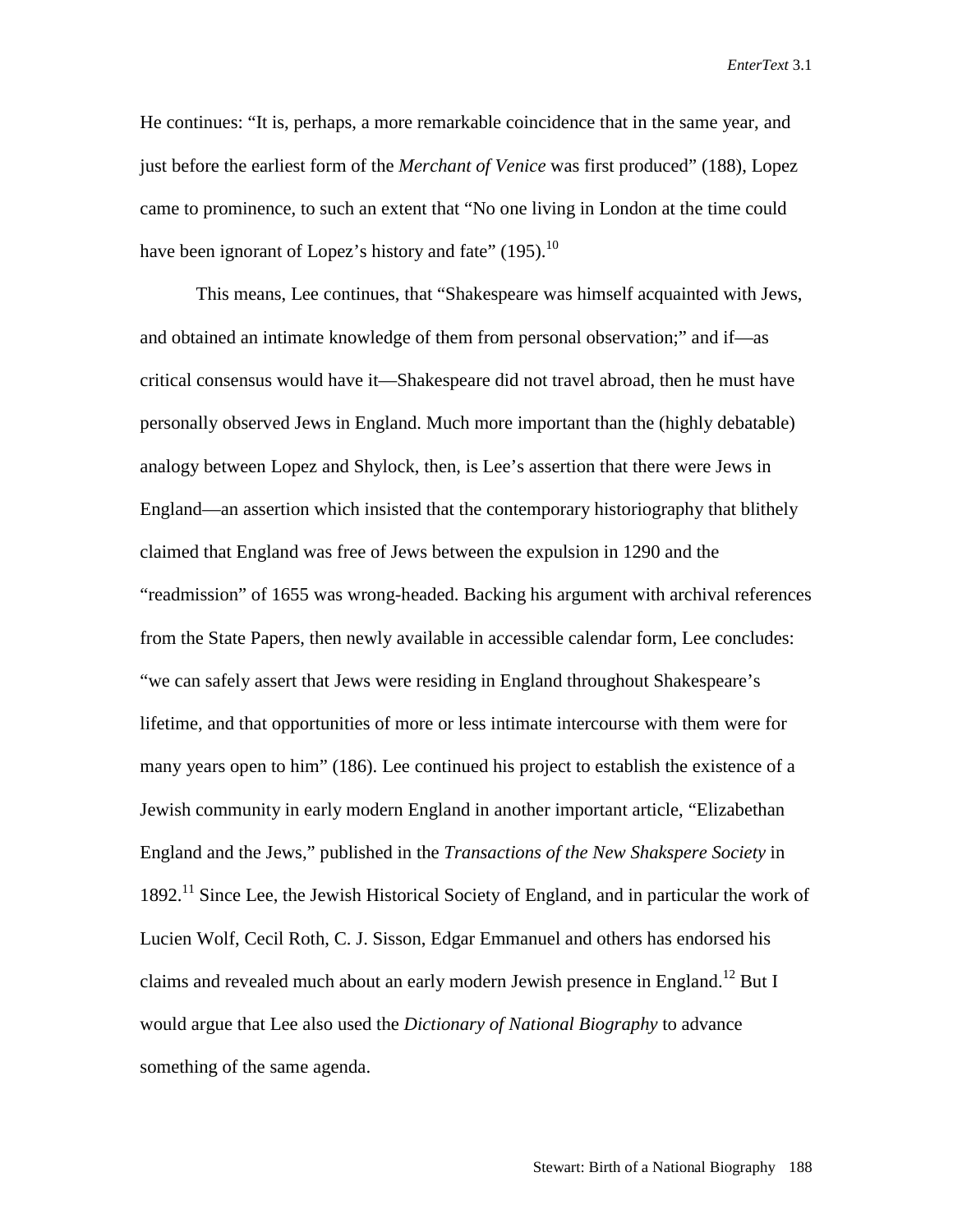He continues: "It is, perhaps, a more remarkable coincidence that in the same year, and just before the earliest form of the *Merchant of Venice* was first produced" (188), Lopez came to prominence, to such an extent that "No one living in London at the time could have been ignorant of Lopez's history and fate"  $(195)$ .<sup>10</sup>

This means, Lee continues, that "Shakespeare was himself acquainted with Jews, and obtained an intimate knowledge of them from personal observation;" and if—as critical consensus would have it—Shakespeare did not travel abroad, then he must have personally observed Jews in England. Much more important than the (highly debatable) analogy between Lopez and Shylock, then, is Lee's assertion that there were Jews in England—an assertion which insisted that the contemporary historiography that blithely claimed that England was free of Jews between the expulsion in 1290 and the "readmission" of 1655 was wrong-headed. Backing his argument with archival references from the State Papers, then newly available in accessible calendar form, Lee concludes: "we can safely assert that Jews were residing in England throughout Shakespeare's lifetime, and that opportunities of more or less intimate intercourse with them were for many years open to him" (186). Lee continued his project to establish the existence of a Jewish community in early modern England in another important article, "Elizabethan England and the Jews," published in the *Transactions of the New Shakspere Society* in 1892.11 Since Lee, the Jewish Historical Society of England, and in particular the work of Lucien Wolf, Cecil Roth, C. J. Sisson, Edgar Emmanuel and others has endorsed his claims and revealed much about an early modern Jewish presence in England.<sup>12</sup> But I would argue that Lee also used the *Dictionary of National Biography* to advance something of the same agenda.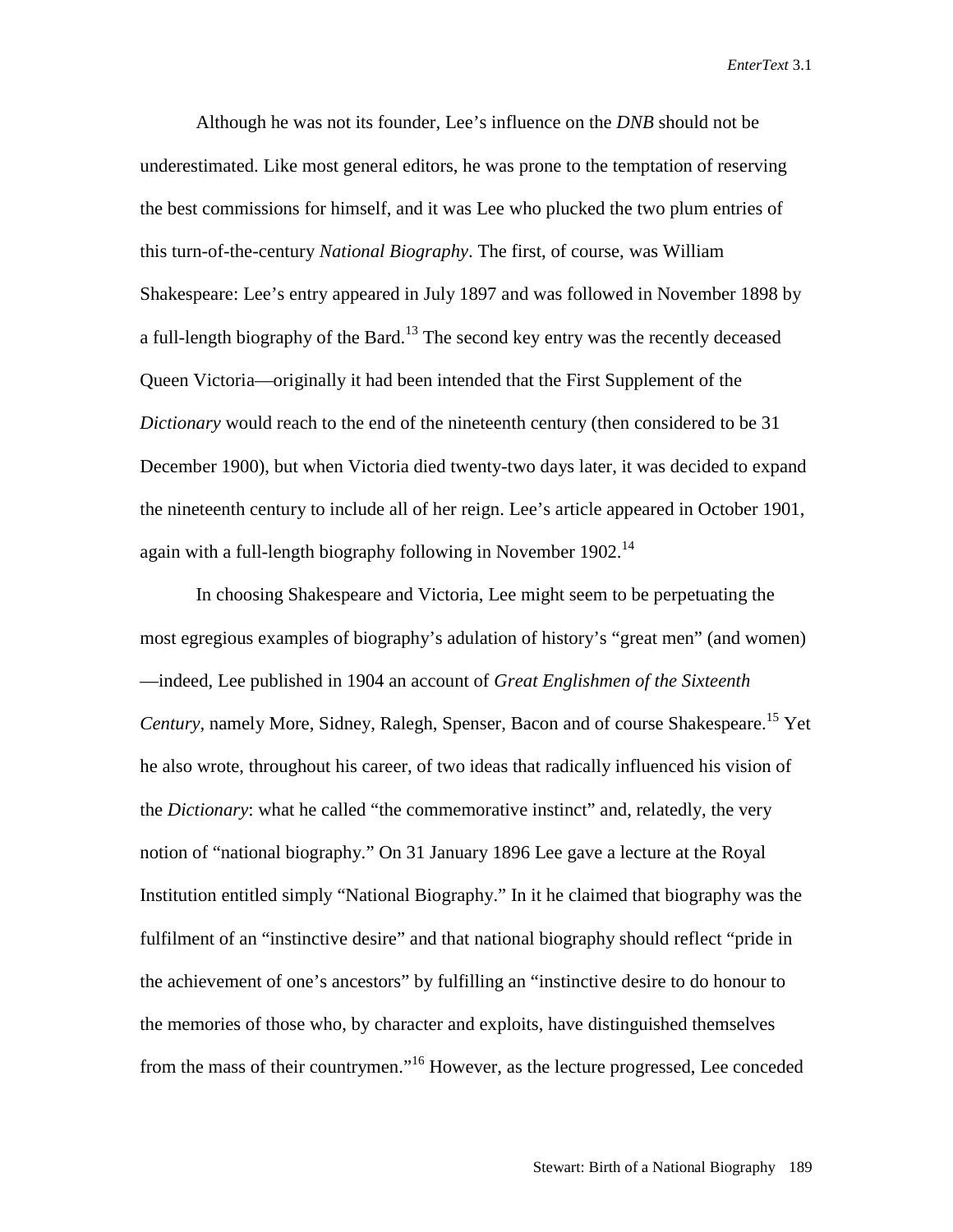Although he was not its founder, Lee's influence on the *DNB* should not be underestimated. Like most general editors, he was prone to the temptation of reserving the best commissions for himself, and it was Lee who plucked the two plum entries of this turn-of-the-century *National Biography*. The first, of course, was William Shakespeare: Lee's entry appeared in July 1897 and was followed in November 1898 by a full-length biography of the Bard.<sup>13</sup> The second key entry was the recently deceased Queen Victoria—originally it had been intended that the First Supplement of the *Dictionary* would reach to the end of the nineteenth century (then considered to be 31 December 1900), but when Victoria died twenty-two days later, it was decided to expand the nineteenth century to include all of her reign. Lee's article appeared in October 1901, again with a full-length biography following in November  $1902<sup>14</sup>$ 

In choosing Shakespeare and Victoria, Lee might seem to be perpetuating the most egregious examples of biography's adulation of history's "great men" (and women) —indeed, Lee published in 1904 an account of *Great Englishmen of the Sixteenth Century*, namely More, Sidney, Ralegh, Spenser, Bacon and of course Shakespeare.<sup>15</sup> Yet he also wrote, throughout his career, of two ideas that radically influenced his vision of the *Dictionary*: what he called "the commemorative instinct" and, relatedly, the very notion of "national biography." On 31 January 1896 Lee gave a lecture at the Royal Institution entitled simply "National Biography." In it he claimed that biography was the fulfilment of an "instinctive desire" and that national biography should reflect "pride in the achievement of one's ancestors" by fulfilling an "instinctive desire to do honour to the memories of those who, by character and exploits, have distinguished themselves from the mass of their countrymen."16 However, as the lecture progressed, Lee conceded

Stewart: Birth of a National Biography 189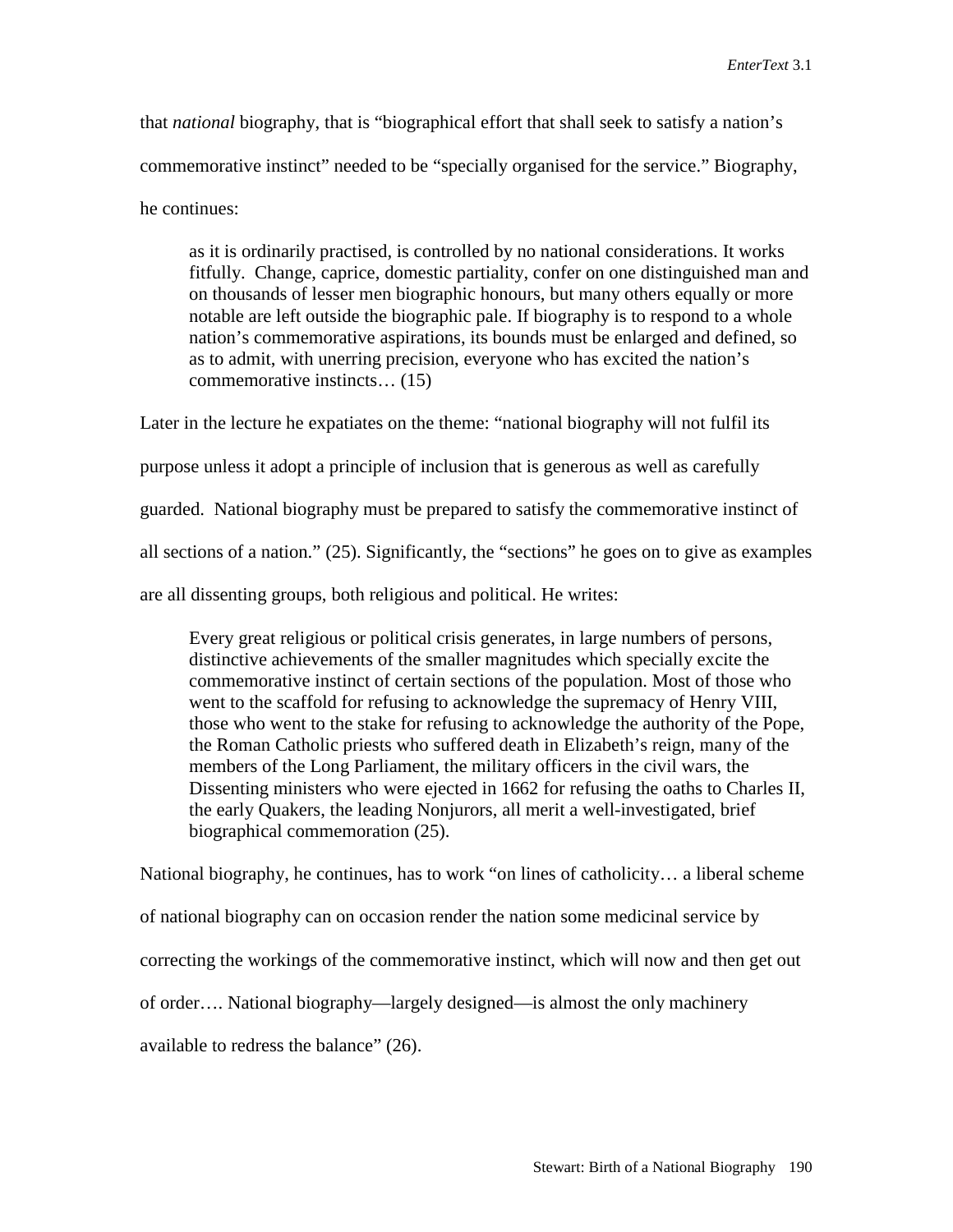that *national* biography, that is "biographical effort that shall seek to satisfy a nation's commemorative instinct" needed to be "specially organised for the service." Biography, he continues:

as it is ordinarily practised, is controlled by no national considerations. It works fitfully. Change, caprice, domestic partiality, confer on one distinguished man and on thousands of lesser men biographic honours, but many others equally or more notable are left outside the biographic pale. If biography is to respond to a whole nation's commemorative aspirations, its bounds must be enlarged and defined, so as to admit, with unerring precision, everyone who has excited the nation's commemorative instincts… (15)

Later in the lecture he expatiates on the theme: "national biography will not fulfil its purpose unless it adopt a principle of inclusion that is generous as well as carefully guarded. National biography must be prepared to satisfy the commemorative instinct of all sections of a nation." (25). Significantly, the "sections" he goes on to give as examples are all dissenting groups, both religious and political. He writes:

Every great religious or political crisis generates, in large numbers of persons, distinctive achievements of the smaller magnitudes which specially excite the commemorative instinct of certain sections of the population. Most of those who went to the scaffold for refusing to acknowledge the supremacy of Henry VIII, those who went to the stake for refusing to acknowledge the authority of the Pope, the Roman Catholic priests who suffered death in Elizabeth's reign, many of the members of the Long Parliament, the military officers in the civil wars, the Dissenting ministers who were ejected in 1662 for refusing the oaths to Charles II, the early Quakers, the leading Nonjurors, all merit a well-investigated, brief biographical commemoration (25).

National biography, he continues, has to work "on lines of catholicity… a liberal scheme of national biography can on occasion render the nation some medicinal service by correcting the workings of the commemorative instinct, which will now and then get out of order…. National biography—largely designed—is almost the only machinery available to redress the balance" (26).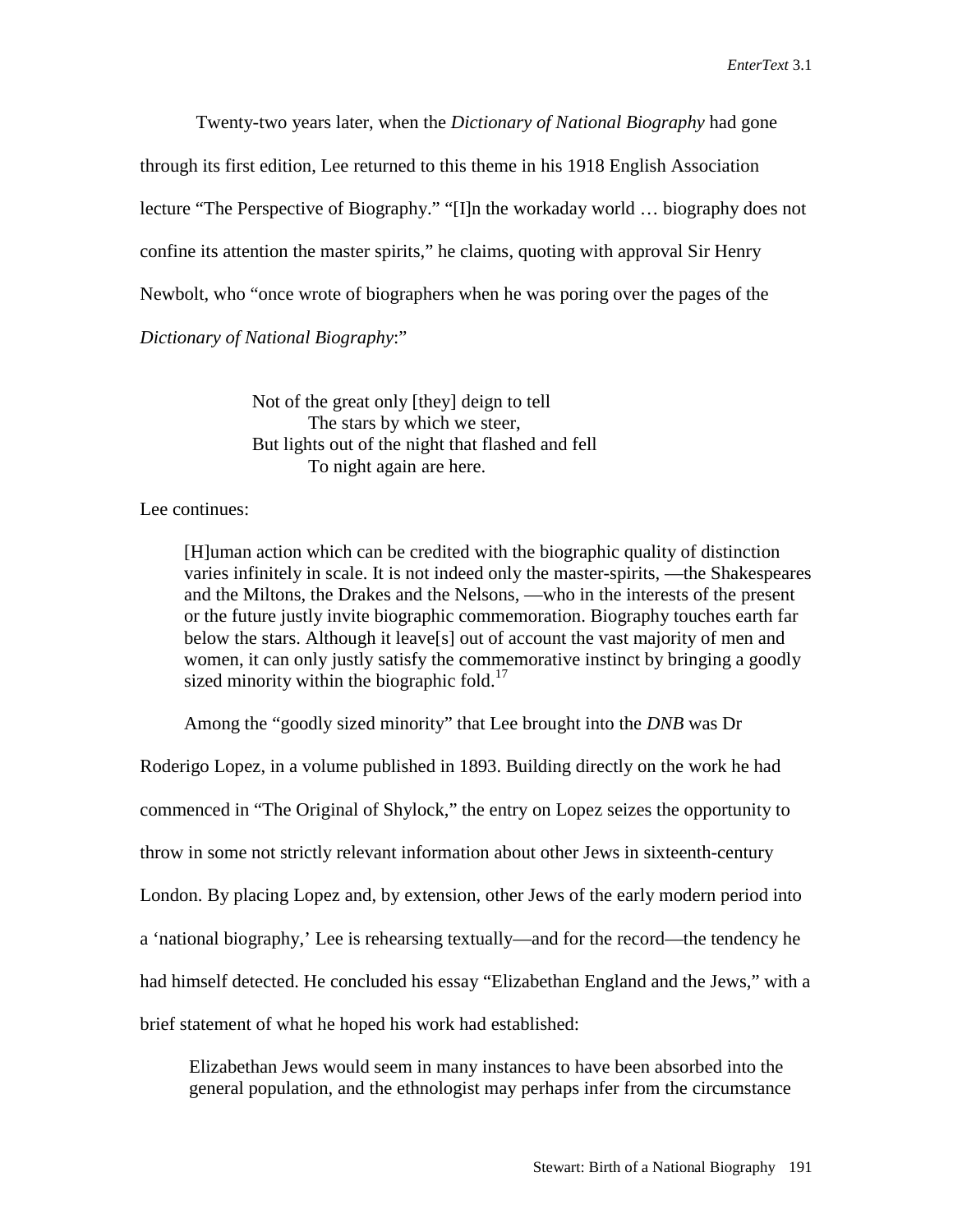Twenty-two years later, when the *Dictionary of National Biography* had gone through its first edition, Lee returned to this theme in his 1918 English Association lecture "The Perspective of Biography." "[I]n the workaday world … biography does not confine its attention the master spirits," he claims, quoting with approval Sir Henry Newbolt, who "once wrote of biographers when he was poring over the pages of the *Dictionary of National Biography*:"

> Not of the great only [they] deign to tell The stars by which we steer, But lights out of the night that flashed and fell To night again are here.

## Lee continues:

[H]uman action which can be credited with the biographic quality of distinction varies infinitely in scale. It is not indeed only the master-spirits, —the Shakespeares and the Miltons, the Drakes and the Nelsons, —who in the interests of the present or the future justly invite biographic commemoration. Biography touches earth far below the stars. Although it leave[s] out of account the vast majority of men and women, it can only justly satisfy the commemorative instinct by bringing a goodly sized minority within the biographic fold.<sup>17</sup>

Among the "goodly sized minority" that Lee brought into the *DNB* was Dr

Roderigo Lopez, in a volume published in 1893. Building directly on the work he had commenced in "The Original of Shylock," the entry on Lopez seizes the opportunity to throw in some not strictly relevant information about other Jews in sixteenth-century London. By placing Lopez and, by extension, other Jews of the early modern period into a 'national biography,' Lee is rehearsing textually—and for the record—the tendency he had himself detected. He concluded his essay "Elizabethan England and the Jews," with a brief statement of what he hoped his work had established:

Elizabethan Jews would seem in many instances to have been absorbed into the general population, and the ethnologist may perhaps infer from the circumstance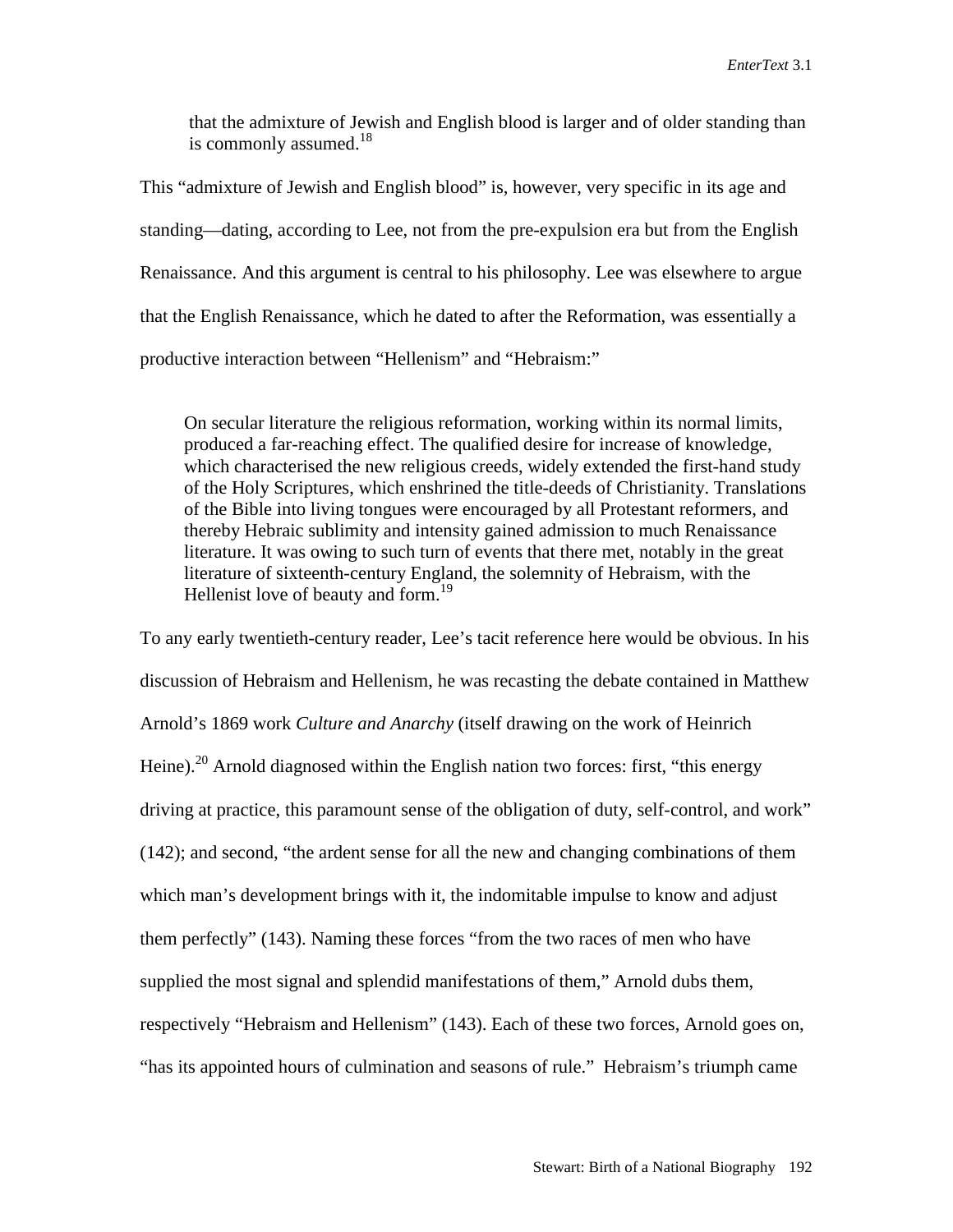that the admixture of Jewish and English blood is larger and of older standing than is commonly assumed. $18$ 

This "admixture of Jewish and English blood" is, however, very specific in its age and standing—dating, according to Lee, not from the pre-expulsion era but from the English Renaissance. And this argument is central to his philosophy. Lee was elsewhere to argue that the English Renaissance, which he dated to after the Reformation, was essentially a productive interaction between "Hellenism" and "Hebraism:"

On secular literature the religious reformation, working within its normal limits, produced a far-reaching effect. The qualified desire for increase of knowledge, which characterised the new religious creeds, widely extended the first-hand study of the Holy Scriptures, which enshrined the title-deeds of Christianity. Translations of the Bible into living tongues were encouraged by all Protestant reformers, and thereby Hebraic sublimity and intensity gained admission to much Renaissance literature. It was owing to such turn of events that there met, notably in the great literature of sixteenth-century England, the solemnity of Hebraism, with the Hellenist love of beauty and form.<sup>19</sup>

To any early twentieth-century reader, Lee's tacit reference here would be obvious. In his discussion of Hebraism and Hellenism, he was recasting the debate contained in Matthew Arnold's 1869 work *Culture and Anarchy* (itself drawing on the work of Heinrich Heine).<sup>20</sup> Arnold diagnosed within the English nation two forces: first, "this energy" driving at practice, this paramount sense of the obligation of duty, self-control, and work" (142); and second, "the ardent sense for all the new and changing combinations of them which man's development brings with it, the indomitable impulse to know and adjust them perfectly" (143). Naming these forces "from the two races of men who have supplied the most signal and splendid manifestations of them," Arnold dubs them, respectively "Hebraism and Hellenism" (143). Each of these two forces, Arnold goes on, "has its appointed hours of culmination and seasons of rule." Hebraism's triumph came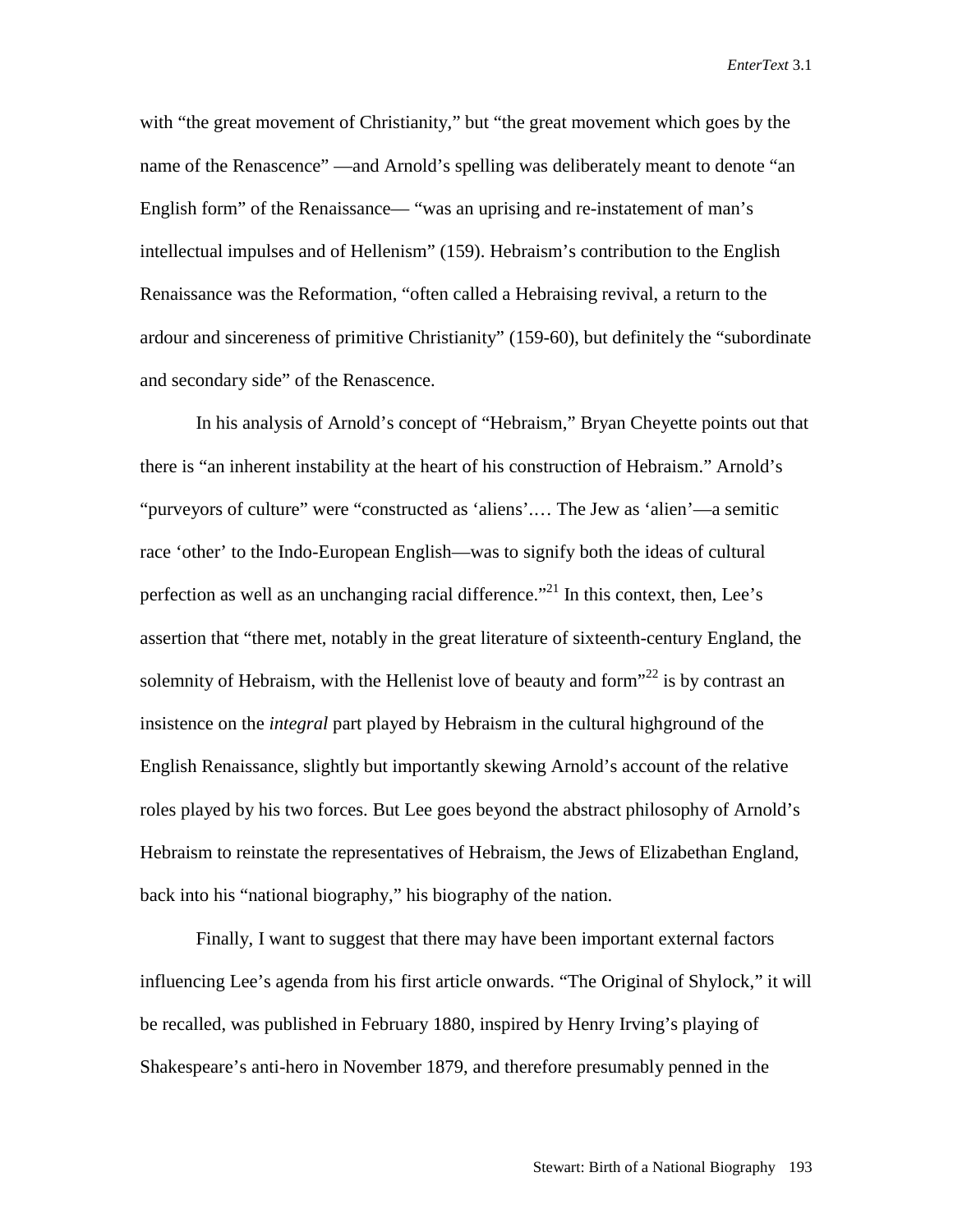with "the great movement of Christianity," but "the great movement which goes by the name of the Renascence" —and Arnold's spelling was deliberately meant to denote "an English form" of the Renaissance— "was an uprising and re-instatement of man's intellectual impulses and of Hellenism" (159). Hebraism's contribution to the English Renaissance was the Reformation, "often called a Hebraising revival, a return to the ardour and sincereness of primitive Christianity" (159-60), but definitely the "subordinate and secondary side" of the Renascence.

In his analysis of Arnold's concept of "Hebraism," Bryan Cheyette points out that there is "an inherent instability at the heart of his construction of Hebraism." Arnold's "purveyors of culture" were "constructed as 'aliens'.… The Jew as 'alien'—a semitic race 'other' to the Indo-European English—was to signify both the ideas of cultural perfection as well as an unchanging racial difference.<sup> $21$ </sup> In this context, then, Lee's assertion that "there met, notably in the great literature of sixteenth-century England, the solemnity of Hebraism, with the Hellenist love of beauty and form $^{322}$  is by contrast an insistence on the *integral* part played by Hebraism in the cultural highground of the English Renaissance, slightly but importantly skewing Arnold's account of the relative roles played by his two forces. But Lee goes beyond the abstract philosophy of Arnold's Hebraism to reinstate the representatives of Hebraism, the Jews of Elizabethan England, back into his "national biography," his biography of the nation.

Finally, I want to suggest that there may have been important external factors influencing Lee's agenda from his first article onwards. "The Original of Shylock," it will be recalled, was published in February 1880, inspired by Henry Irving's playing of Shakespeare's anti-hero in November 1879, and therefore presumably penned in the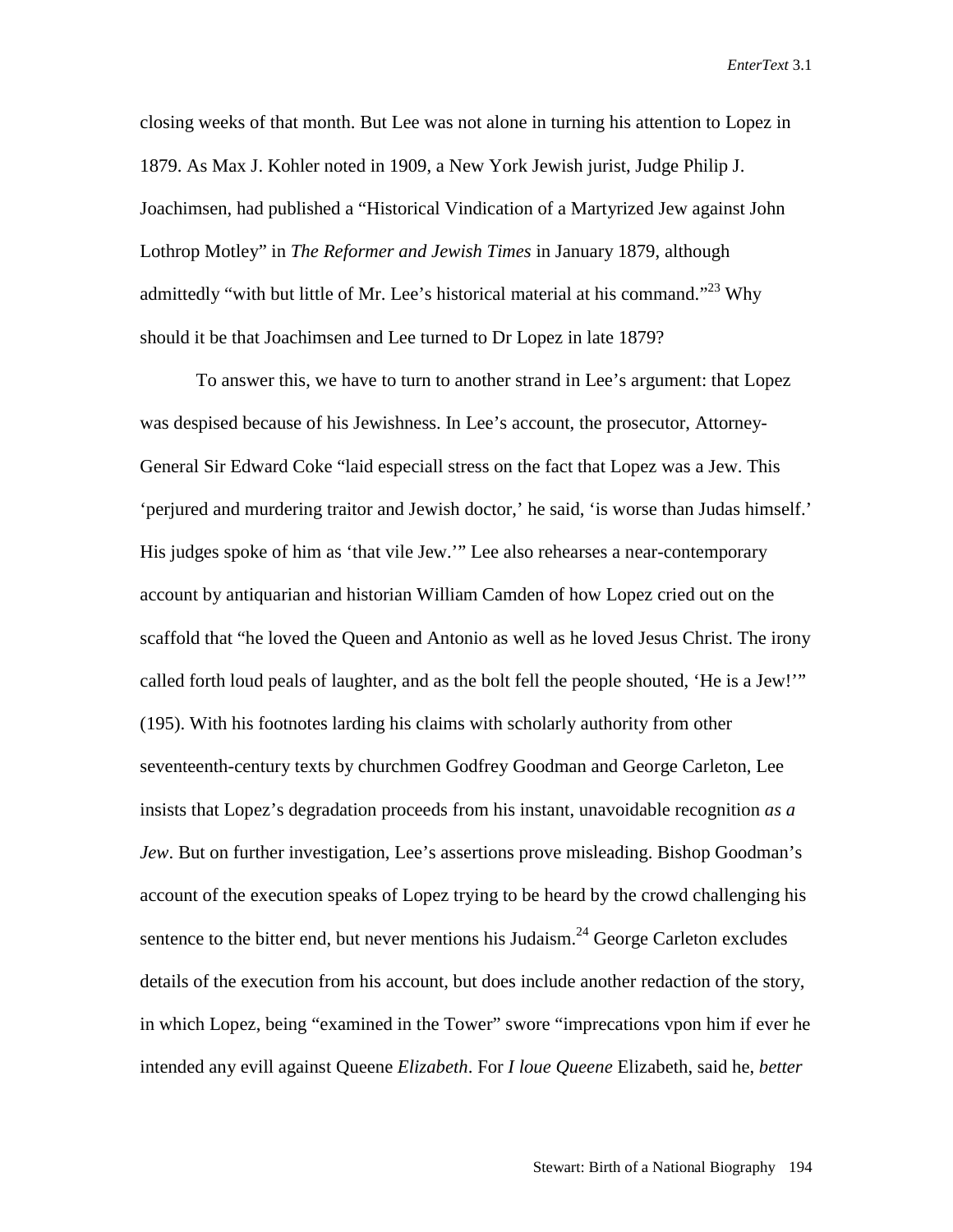closing weeks of that month. But Lee was not alone in turning his attention to Lopez in 1879. As Max J. Kohler noted in 1909, a New York Jewish jurist, Judge Philip J. Joachimsen, had published a "Historical Vindication of a Martyrized Jew against John Lothrop Motley" in *The Reformer and Jewish Times* in January 1879, although admittedly "with but little of Mr. Lee's historical material at his command."<sup>23</sup> Why should it be that Joachimsen and Lee turned to Dr Lopez in late 1879?

To answer this, we have to turn to another strand in Lee's argument: that Lopez was despised because of his Jewishness. In Lee's account, the prosecutor, Attorney-General Sir Edward Coke "laid especiall stress on the fact that Lopez was a Jew. This 'perjured and murdering traitor and Jewish doctor,' he said, 'is worse than Judas himself.' His judges spoke of him as 'that vile Jew.'" Lee also rehearses a near-contemporary account by antiquarian and historian William Camden of how Lopez cried out on the scaffold that "he loved the Queen and Antonio as well as he loved Jesus Christ. The irony called forth loud peals of laughter, and as the bolt fell the people shouted, 'He is a Jew!'" (195). With his footnotes larding his claims with scholarly authority from other seventeenth-century texts by churchmen Godfrey Goodman and George Carleton, Lee insists that Lopez's degradation proceeds from his instant, unavoidable recognition *as a Jew*. But on further investigation, Lee's assertions prove misleading. Bishop Goodman's account of the execution speaks of Lopez trying to be heard by the crowd challenging his sentence to the bitter end, but never mentions his Judaism.<sup>24</sup> George Carleton excludes details of the execution from his account, but does include another redaction of the story, in which Lopez, being "examined in the Tower" swore "imprecations vpon him if ever he intended any evill against Queene *Elizabeth*. For *I loue Queene* Elizabeth, said he, *better*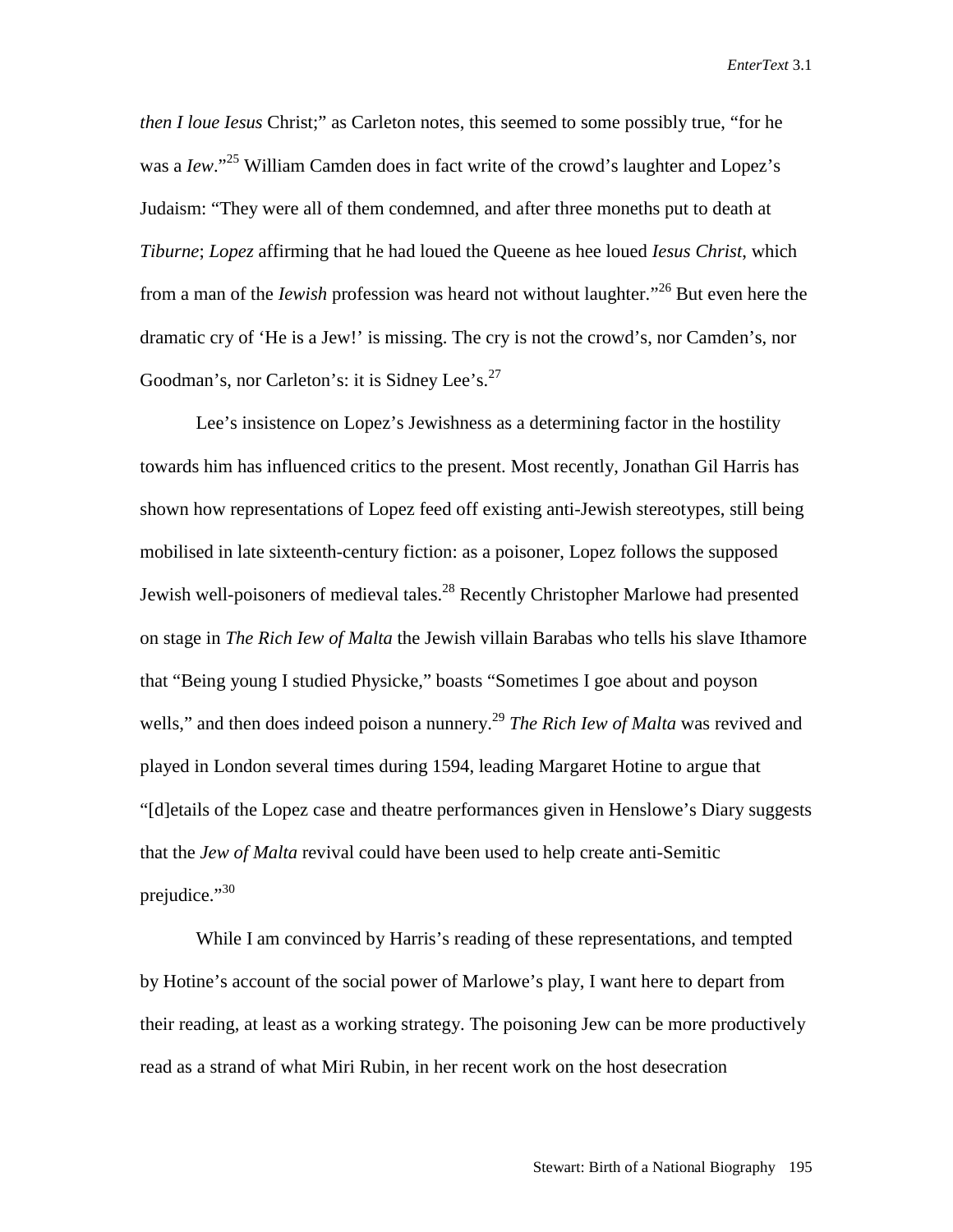*then I loue Iesus* Christ;" as Carleton notes, this seemed to some possibly true, "for he was a *Iew*."<sup>25</sup> William Camden does in fact write of the crowd's laughter and Lopez's Judaism: "They were all of them condemned, and after three moneths put to death at *Tiburne*; *Lopez* affirming that he had loued the Queene as hee loued *Iesus Christ*, which from a man of the *Iewish* profession was heard not without laughter."26 But even here the dramatic cry of 'He is a Jew!' is missing. The cry is not the crowd's, nor Camden's, nor Goodman's, nor Carleton's: it is Sidney Lee's.<sup>27</sup>

Lee's insistence on Lopez's Jewishness as a determining factor in the hostility towards him has influenced critics to the present. Most recently, Jonathan Gil Harris has shown how representations of Lopez feed off existing anti-Jewish stereotypes, still being mobilised in late sixteenth-century fiction: as a poisoner, Lopez follows the supposed Jewish well-poisoners of medieval tales.<sup>28</sup> Recently Christopher Marlowe had presented on stage in *The Rich Iew of Malta* the Jewish villain Barabas who tells his slave Ithamore that "Being young I studied Physicke," boasts "Sometimes I goe about and poyson wells," and then does indeed poison a nunnery.<sup>29</sup> *The Rich Iew of Malta* was revived and played in London several times during 1594, leading Margaret Hotine to argue that "[d]etails of the Lopez case and theatre performances given in Henslowe's Diary suggests that the *Jew of Malta* revival could have been used to help create anti-Semitic prejudice."<sup>30</sup>

While I am convinced by Harris's reading of these representations, and tempted by Hotine's account of the social power of Marlowe's play, I want here to depart from their reading, at least as a working strategy. The poisoning Jew can be more productively read as a strand of what Miri Rubin, in her recent work on the host desecration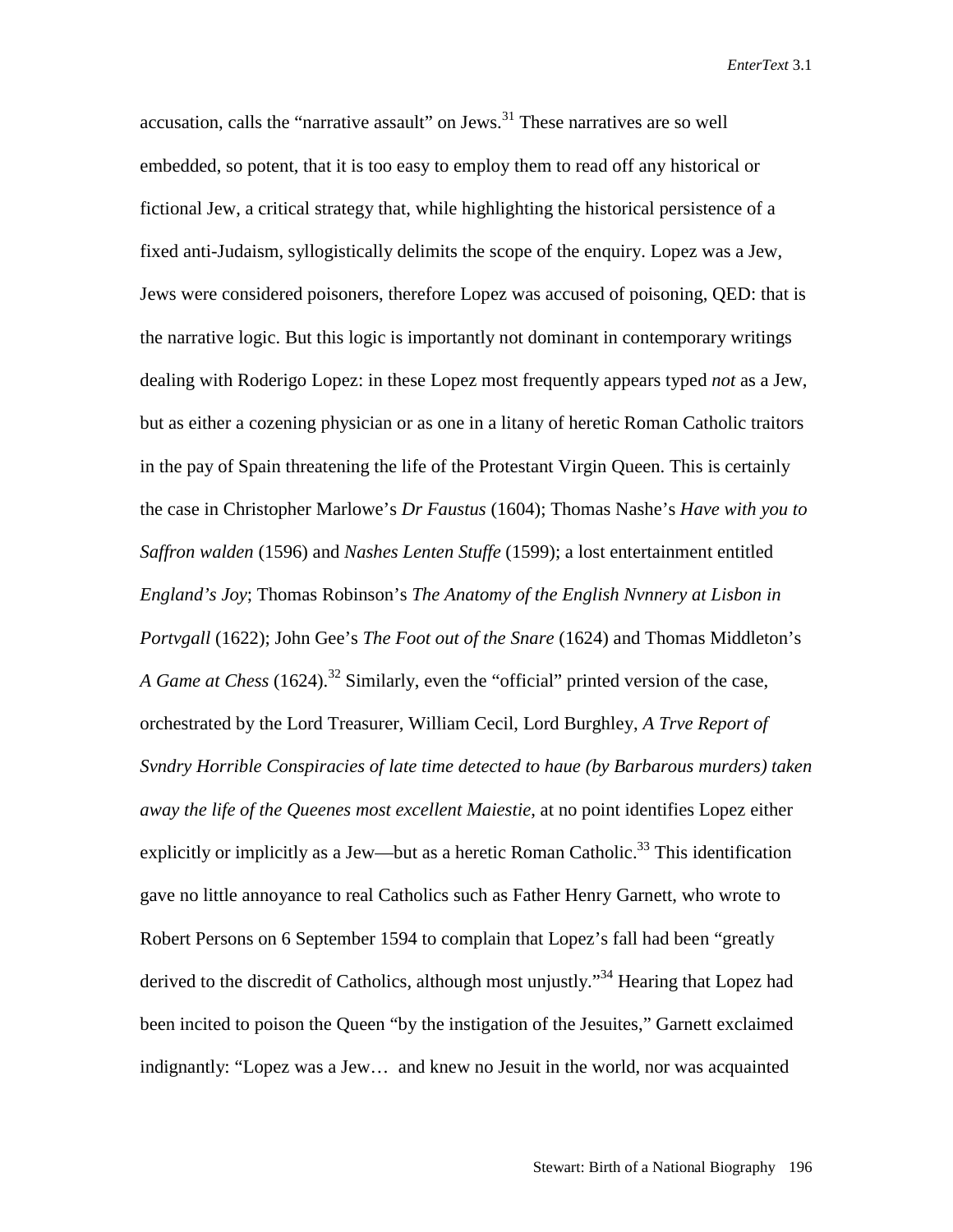accusation, calls the "narrative assault" on Jews.<sup>31</sup> These narratives are so well embedded, so potent, that it is too easy to employ them to read off any historical or fictional Jew, a critical strategy that, while highlighting the historical persistence of a fixed anti-Judaism, syllogistically delimits the scope of the enquiry. Lopez was a Jew, Jews were considered poisoners, therefore Lopez was accused of poisoning, QED: that is the narrative logic. But this logic is importantly not dominant in contemporary writings dealing with Roderigo Lopez: in these Lopez most frequently appears typed *not* as a Jew, but as either a cozening physician or as one in a litany of heretic Roman Catholic traitors in the pay of Spain threatening the life of the Protestant Virgin Queen. This is certainly the case in Christopher Marlowe's *Dr Faustus* (1604); Thomas Nashe's *Have with you to Saffron walden* (1596) and *Nashes Lenten Stuffe* (1599); a lost entertainment entitled *England's Joy*; Thomas Robinson's *The Anatomy of the English Nvnnery at Lisbon in Portvgall* (1622); John Gee's *The Foot out of the Snare* (1624) and Thomas Middleton's *A Game at Chess* (1624).<sup>32</sup> Similarly, even the "official" printed version of the case, orchestrated by the Lord Treasurer, William Cecil, Lord Burghley, *A Trve Report of Svndry Horrible Conspiracies of late time detected to haue (by Barbarous murders) taken away the life of the Queenes most excellent Maiestie*, at no point identifies Lopez either explicitly or implicitly as a Jew—but as a heretic Roman Catholic.<sup>33</sup> This identification gave no little annoyance to real Catholics such as Father Henry Garnett, who wrote to Robert Persons on 6 September 1594 to complain that Lopez's fall had been "greatly derived to the discredit of Catholics, although most unjustly."<sup>34</sup> Hearing that Lopez had been incited to poison the Queen "by the instigation of the Jesuites," Garnett exclaimed indignantly: "Lopez was a Jew… and knew no Jesuit in the world, nor was acquainted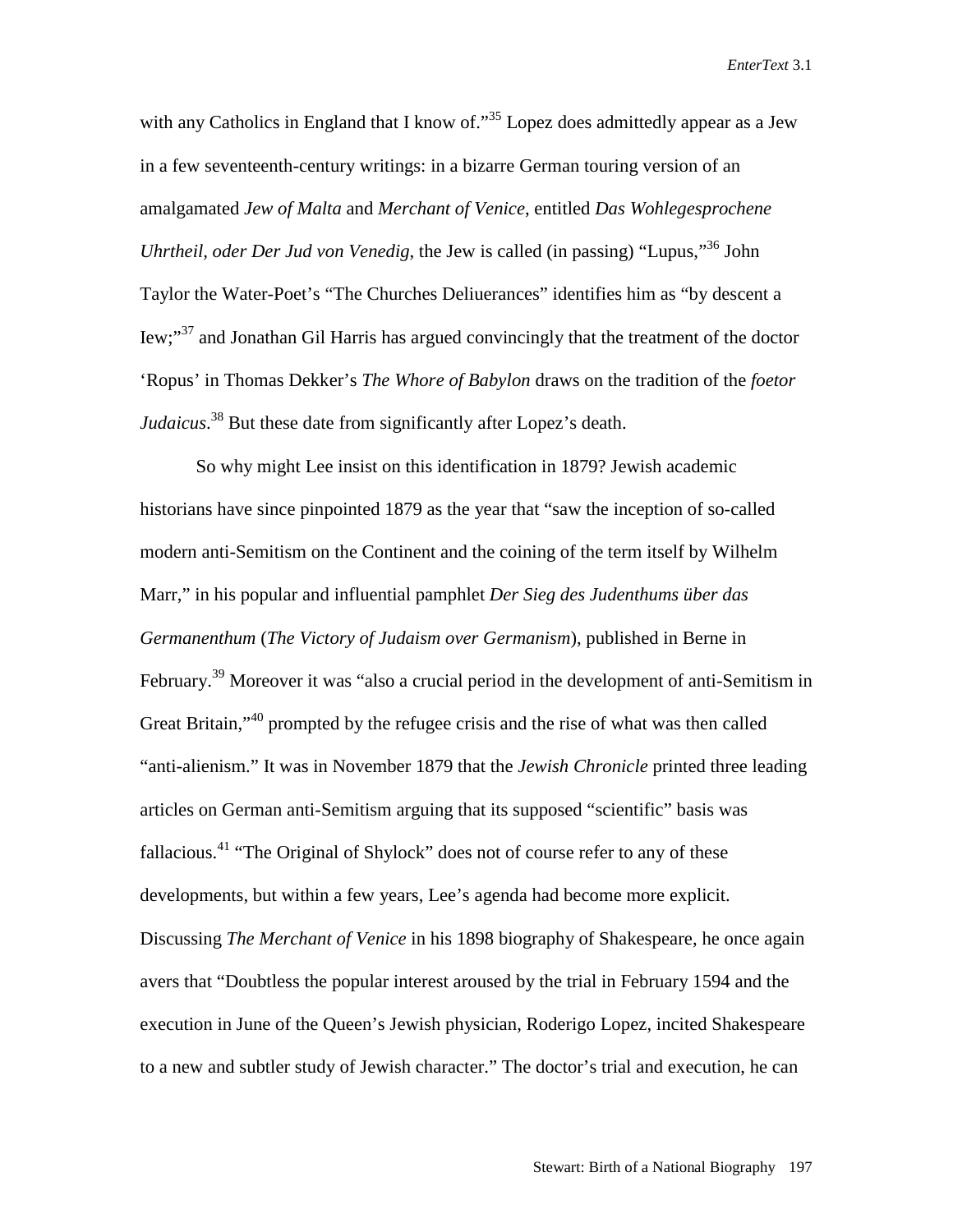with any Catholics in England that I know of."<sup>35</sup> Lopez does admittedly appear as a Jew in a few seventeenth-century writings: in a bizarre German touring version of an amalgamated *Jew of Malta* and *Merchant of Venice*, entitled *Das Wohlegesprochene Uhrtheil, oder Der Jud von Venedig*, the Jew is called (in passing) "Lupus,"36 John Taylor the Water-Poet's "The Churches Deliuerances" identifies him as "by descent a Iew;"<sup>37</sup> and Jonathan Gil Harris has argued convincingly that the treatment of the doctor 'Ropus' in Thomas Dekker's *The Whore of Babylon* draws on the tradition of the *foetor Judaicus*. 38 But these date from significantly after Lopez's death.

So why might Lee insist on this identification in 1879? Jewish academic historians have since pinpointed 1879 as the year that "saw the inception of so-called modern anti-Semitism on the Continent and the coining of the term itself by Wilhelm Marr," in his popular and influential pamphlet *Der Sieg des Judenthums über das Germanenthum* (*The Victory of Judaism over Germanism*), published in Berne in February.<sup>39</sup> Moreover it was "also a crucial period in the development of anti-Semitism in Great Britain,"<sup>40</sup> prompted by the refugee crisis and the rise of what was then called "anti-alienism." It was in November 1879 that the *Jewish Chronicle* printed three leading articles on German anti-Semitism arguing that its supposed "scientific" basis was fallacious.<sup>41</sup> "The Original of Shylock" does not of course refer to any of these developments, but within a few years, Lee's agenda had become more explicit. Discussing *The Merchant of Venice* in his 1898 biography of Shakespeare, he once again avers that "Doubtless the popular interest aroused by the trial in February 1594 and the execution in June of the Queen's Jewish physician, Roderigo Lopez, incited Shakespeare to a new and subtler study of Jewish character." The doctor's trial and execution, he can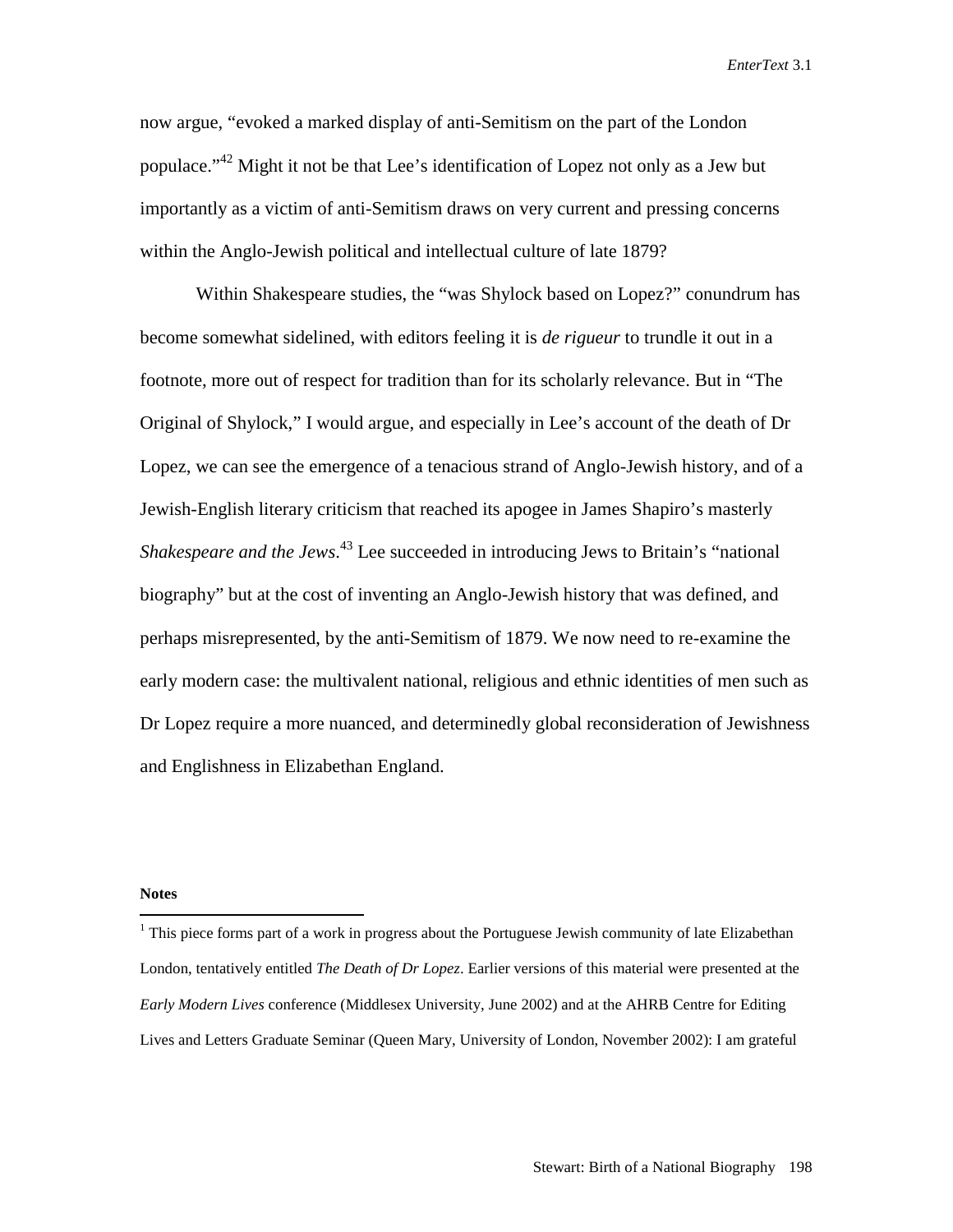now argue, "evoked a marked display of anti-Semitism on the part of the London populace."<sup>42</sup> Might it not be that Lee's identification of Lopez not only as a Jew but importantly as a victim of anti-Semitism draws on very current and pressing concerns within the Anglo-Jewish political and intellectual culture of late 1879?

Within Shakespeare studies, the "was Shylock based on Lopez?" conundrum has become somewhat sidelined, with editors feeling it is *de rigueur* to trundle it out in a footnote, more out of respect for tradition than for its scholarly relevance. But in "The Original of Shylock," I would argue, and especially in Lee's account of the death of Dr Lopez, we can see the emergence of a tenacious strand of Anglo-Jewish history, and of a Jewish-English literary criticism that reached its apogee in James Shapiro's masterly *Shakespeare and the Jews*. 43 Lee succeeded in introducing Jews to Britain's "national biography" but at the cost of inventing an Anglo-Jewish history that was defined, and perhaps misrepresented, by the anti-Semitism of 1879. We now need to re-examine the early modern case: the multivalent national, religious and ethnic identities of men such as Dr Lopez require a more nuanced, and determinedly global reconsideration of Jewishness and Englishness in Elizabethan England.

## **Notes**

 $\overline{a}$ 

 $1$  This piece forms part of a work in progress about the Portuguese Jewish community of late Elizabethan London, tentatively entitled *The Death of Dr Lopez*. Earlier versions of this material were presented at the *Early Modern Lives* conference (Middlesex University, June 2002) and at the AHRB Centre for Editing Lives and Letters Graduate Seminar (Queen Mary, University of London, November 2002): I am grateful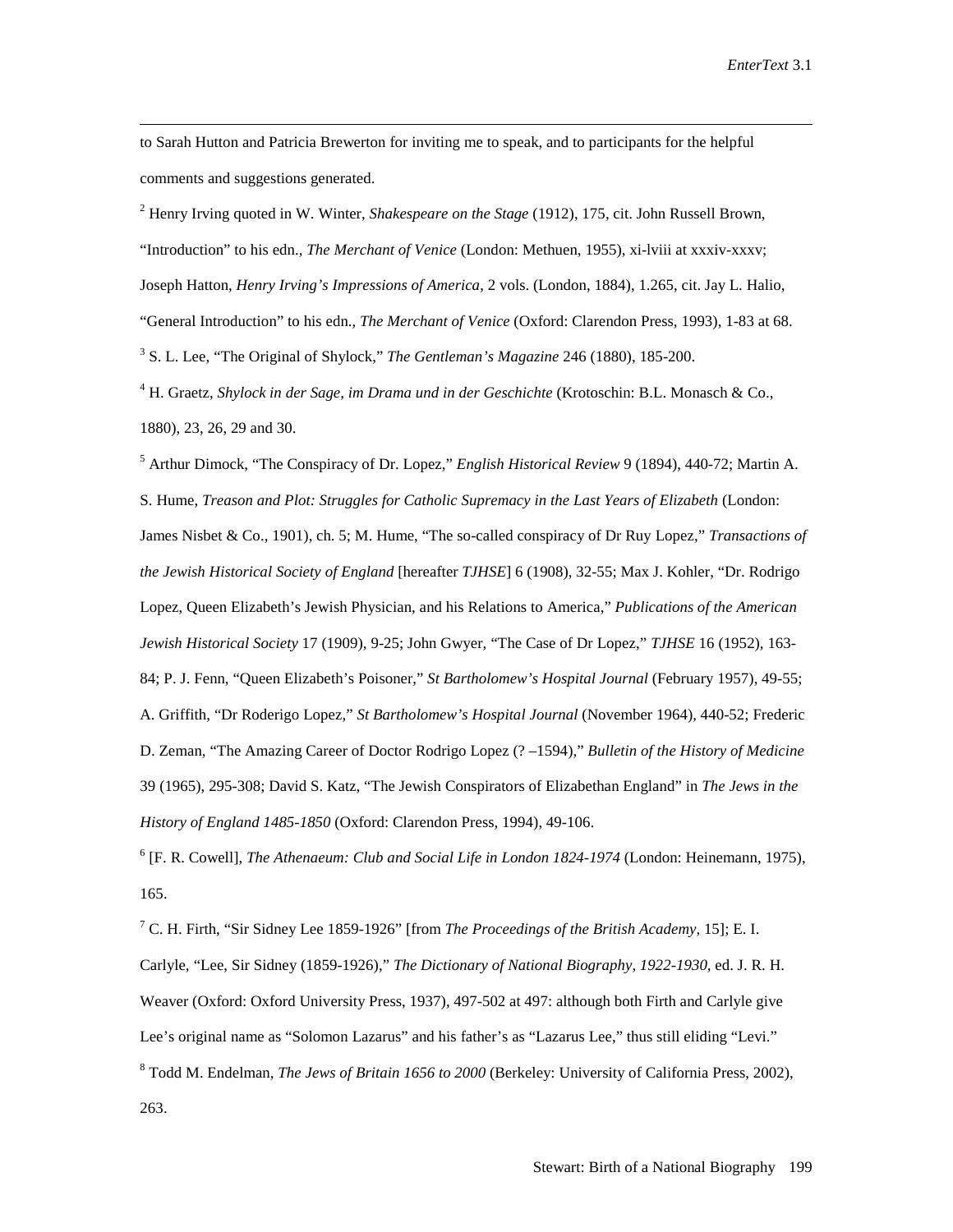to Sarah Hutton and Patricia Brewerton for inviting me to speak, and to participants for the helpful comments and suggestions generated.

2 Henry Irving quoted in W. Winter, *Shakespeare on the Stage* (1912), 175, cit. John Russell Brown, "Introduction" to his edn., *The Merchant of Venice* (London: Methuen, 1955), xi-lviii at xxxiv-xxxv; Joseph Hatton, *Henry Irving's Impressions of America*, 2 vols. (London, 1884), 1.265, cit. Jay L. Halio, "General Introduction" to his edn., *The Merchant of Venice* (Oxford: Clarendon Press, 1993), 1-83 at 68. 3 S. L. Lee, "The Original of Shylock," *The Gentleman's Magazine* 246 (1880), 185-200.

4 H. Graetz, *Shylock in der Sage, im Drama und in der Geschichte* (Krotoschin: B.L. Monasch & Co., 1880), 23, 26, 29 and 30.

5 Arthur Dimock, "The Conspiracy of Dr. Lopez," *English Historical Review* 9 (1894), 440-72; Martin A. S. Hume, *Treason and Plot: Struggles for Catholic Supremacy in the Last Years of Elizabeth* (London: James Nisbet & Co., 1901), ch. 5; M. Hume, "The so-called conspiracy of Dr Ruy Lopez," *Transactions of the Jewish Historical Society of England* [hereafter *TJHSE*] 6 (1908), 32-55; Max J. Kohler, "Dr. Rodrigo Lopez, Queen Elizabeth's Jewish Physician, and his Relations to America," *Publications of the American Jewish Historical Society* 17 (1909), 9-25; John Gwyer, "The Case of Dr Lopez," *TJHSE* 16 (1952), 163- 84; P. J. Fenn, "Queen Elizabeth's Poisoner," *St Bartholomew's Hospital Journal* (February 1957), 49-55; A. Griffith, "Dr Roderigo Lopez," *St Bartholomew's Hospital Journal* (November 1964), 440-52; Frederic D. Zeman, "The Amazing Career of Doctor Rodrigo Lopez (? –1594)," *Bulletin of the History of Medicine* 39 (1965), 295-308; David S. Katz, "The Jewish Conspirators of Elizabethan England" in *The Jews in the History of England 1485-1850* (Oxford: Clarendon Press, 1994), 49-106.

6 [F. R. Cowell], *The Athenaeum: Club and Social Life in London 1824-1974* (London: Heinemann, 1975), 165.

7 C. H. Firth, "Sir Sidney Lee 1859-1926" [from *The Proceedings of the British Academy*, 15]; E. I. Carlyle, "Lee, Sir Sidney (1859-1926)," *The Dictionary of National Biography*, *1922-1930,* ed. J. R. H. Weaver (Oxford: Oxford University Press, 1937), 497-502 at 497: although both Firth and Carlyle give Lee's original name as "Solomon Lazarus" and his father's as "Lazarus Lee," thus still eliding "Levi." 8 Todd M. Endelman, *The Jews of Britain 1656 to 2000* (Berkeley: University of California Press, 2002), 263.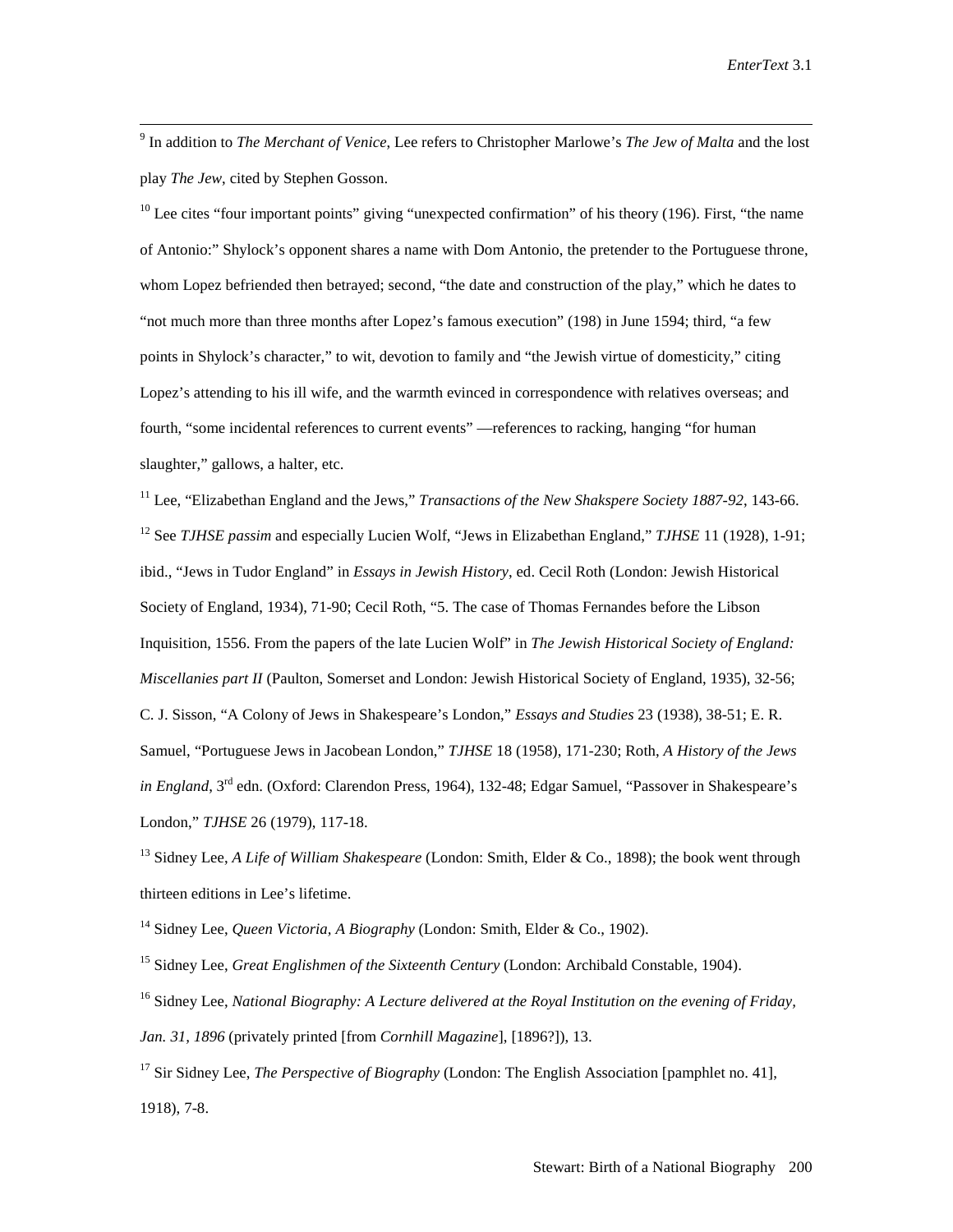-<br>9 <sup>9</sup> In addition to *The Merchant of Venice*, Lee refers to Christopher Marlowe's *The Jew of Malta* and the lost play *The Jew*, cited by Stephen Gosson.

 $10$  Lee cites "four important points" giving "unexpected confirmation" of his theory (196). First, "the name of Antonio:" Shylock's opponent shares a name with Dom Antonio, the pretender to the Portuguese throne, whom Lopez befriended then betrayed; second, "the date and construction of the play," which he dates to "not much more than three months after Lopez's famous execution" (198) in June 1594; third, "a few points in Shylock's character," to wit, devotion to family and "the Jewish virtue of domesticity," citing Lopez's attending to his ill wife, and the warmth evinced in correspondence with relatives overseas; and fourth, "some incidental references to current events" —references to racking, hanging "for human slaughter," gallows, a halter, etc.

11 Lee, "Elizabethan England and the Jews," *Transactions of the New Shakspere Society 1887-92*, 143-66. <sup>12</sup> See *TJHSE passim* and especially Lucien Wolf, "Jews in Elizabethan England," *TJHSE* 11 (1928), 1-91; ibid., "Jews in Tudor England" in *Essays in Jewish History*, ed. Cecil Roth (London: Jewish Historical Society of England, 1934), 71-90; Cecil Roth, "5. The case of Thomas Fernandes before the Libson Inquisition, 1556. From the papers of the late Lucien Wolf" in *The Jewish Historical Society of England: Miscellanies part II* (Paulton, Somerset and London: Jewish Historical Society of England, 1935), 32-56; C. J. Sisson, "A Colony of Jews in Shakespeare's London," *Essays and Studies* 23 (1938), 38-51; E. R. Samuel, "Portuguese Jews in Jacobean London," *TJHSE* 18 (1958), 171-230; Roth, *A History of the Jews in England*, 3<sup>rd</sup> edn. (Oxford: Clarendon Press, 1964), 132-48; Edgar Samuel, "Passover in Shakespeare's London," *TJHSE* 26 (1979), 117-18.

13 Sidney Lee, *A Life of William Shakespeare* (London: Smith, Elder & Co., 1898); the book went through thirteen editions in Lee's lifetime.

<sup>14</sup> Sidney Lee, *Queen Victoria, A Biography* (London: Smith, Elder & Co., 1902).

15 Sidney Lee, *Great Englishmen of the Sixteenth Century* (London: Archibald Constable, 1904).

16 Sidney Lee, *National Biography: A Lecture delivered at the Royal Institution on the evening of Friday, Jan. 31, 1896* (privately printed [from *Cornhill Magazine*], [1896?]), 13.

17 Sir Sidney Lee, *The Perspective of Biography* (London: The English Association [pamphlet no. 41], 1918), 7-8.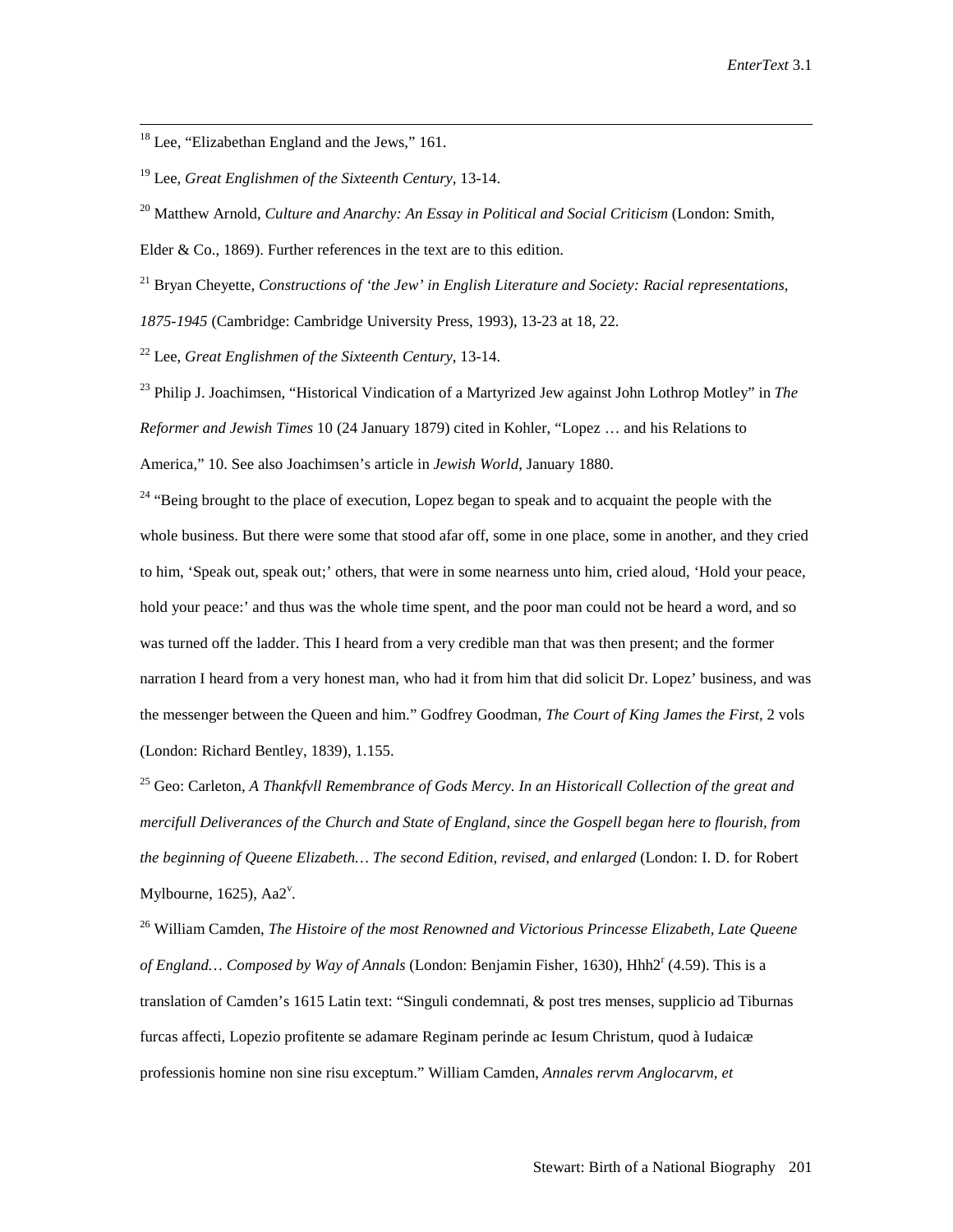<sup>18</sup> Lee, "Elizabethan England and the Jews," 161.

19 Lee, *Great Englishmen of the Sixteenth Century*, 13-14.

20 Matthew Arnold, *Culture and Anarchy: An Essay in Political and Social Criticism* (London: Smith,

Elder & Co., 1869). Further references in the text are to this edition.

21 Bryan Cheyette, *Constructions of 'the Jew' in English Literature and Society: Racial representations,* 

*1875-1945* (Cambridge: Cambridge University Press, 1993), 13-23 at 18, 22.

22 Lee, *Great Englishmen of the Sixteenth Century*, 13-14.

23 Philip J. Joachimsen, "Historical Vindication of a Martyrized Jew against John Lothrop Motley" in *The Reformer and Jewish Times* 10 (24 January 1879) cited in Kohler, "Lopez … and his Relations to America," 10. See also Joachimsen's article in *Jewish World*, January 1880.

<sup>24</sup> "Being brought to the place of execution, Lopez began to speak and to acquaint the people with the whole business. But there were some that stood afar off, some in one place, some in another, and they cried to him, 'Speak out, speak out;' others, that were in some nearness unto him, cried aloud, 'Hold your peace, hold your peace:' and thus was the whole time spent, and the poor man could not be heard a word, and so was turned off the ladder. This I heard from a very credible man that was then present; and the former narration I heard from a very honest man, who had it from him that did solicit Dr. Lopez' business, and was the messenger between the Queen and him." Godfrey Goodman, *The Court of King James the First*, 2 vols (London: Richard Bentley, 1839), 1.155.

25 Geo: Carleton, *A Thankfvll Remembrance of Gods Mercy. In an Historicall Collection of the great and mercifull Deliverances of the Church and State of England, since the Gospell began here to flourish, from the beginning of Queene Elizabeth… The second Edition, revised, and enlarged* (London: I. D. for Robert Mylbourne,  $1625$ ),  $Aa2^v$ .

26 William Camden, *The Histoire of the most Renowned and Victorious Princesse Elizabeth, Late Queene*  of England... Composed by Way of Annals (London: Benjamin Fisher, 1630), Hhh2<sup>r</sup> (4.59). This is a translation of Camden's 1615 Latin text: "Singuli condemnati, & post tres menses, supplicio ad Tiburnas furcas affecti, Lopezio profitente se adamare Reginam perinde ac Iesum Christum, quod à Iudaicæ professionis homine non sine risu exceptum." William Camden, *Annales rervm Anglocarvm, et*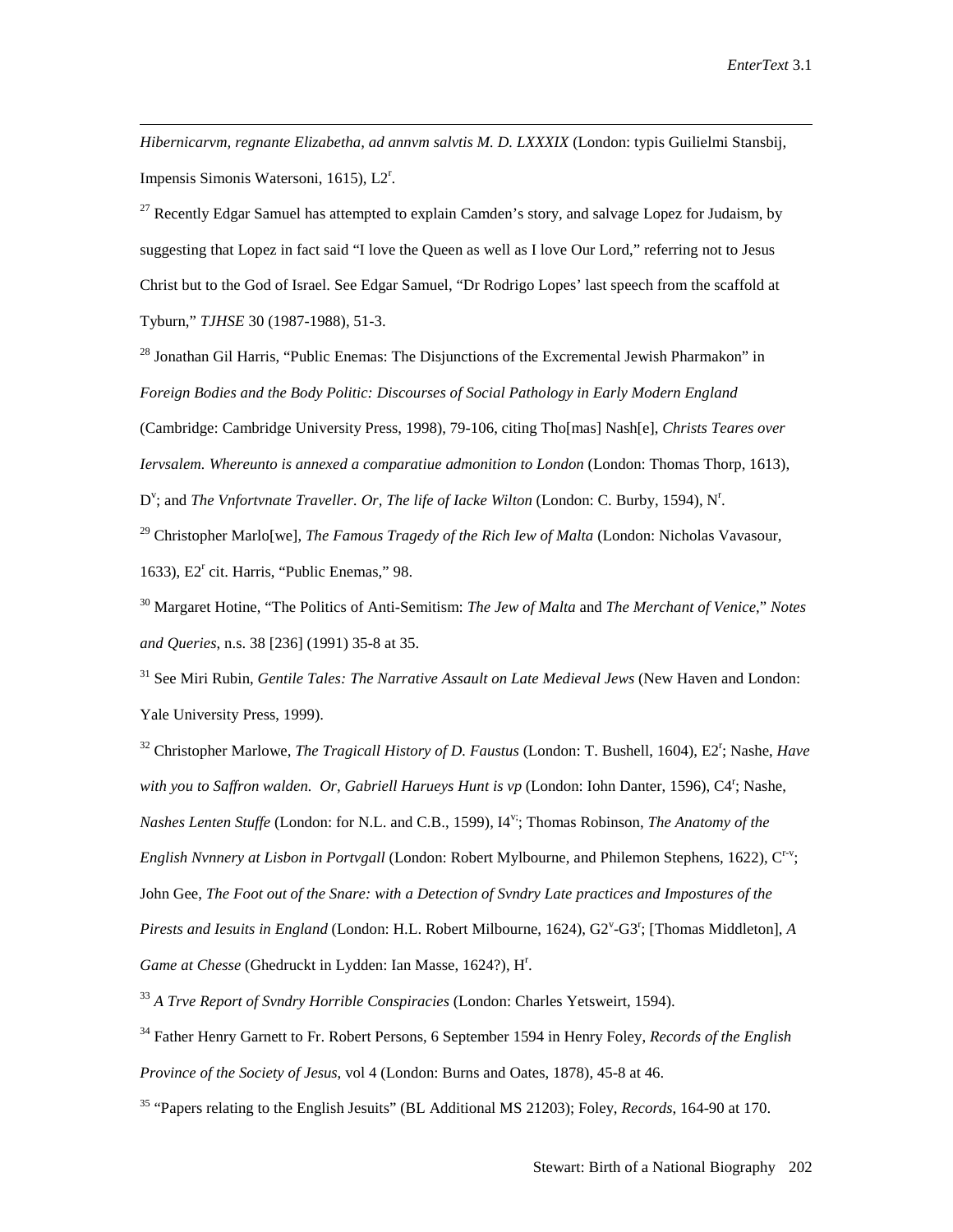*Hibernicarvm, regnante Elizabetha, ad annvm salvtis M. D. LXXXIX* (London: typis Guilielmi Stansbij, Impensis Simonis Watersoni, 1615), L2<sup>r</sup>.

 $\overline{a}$ 

<sup>27</sup> Recently Edgar Samuel has attempted to explain Camden's story, and salvage Lopez for Judaism, by suggesting that Lopez in fact said "I love the Queen as well as I love Our Lord," referring not to Jesus Christ but to the God of Israel. See Edgar Samuel, "Dr Rodrigo Lopes' last speech from the scaffold at Tyburn," *TJHSE* 30 (1987-1988), 51-3.

<sup>28</sup> Jonathan Gil Harris, "Public Enemas: The Disjunctions of the Excremental Jewish Pharmakon" in *Foreign Bodies and the Body Politic: Discourses of Social Pathology in Early Modern England* (Cambridge: Cambridge University Press, 1998), 79-106, citing Tho[mas] Nash[e], *Christs Teares over Iervsalem. Whereunto is annexed a comparatiue admonition to London* (London: Thomas Thorp, 1613), D<sup>v</sup>; and *The Vnfortvnate Traveller. Or, The life of Iacke Wilton* (London: C. Burby, 1594), N<sup>r</sup>.

29 Christopher Marlo[we], *The Famous Tragedy of the Rich Iew of Malta* (London: Nicholas Vavasour, 1633), E2<sup>r</sup> cit. Harris, "Public Enemas," 98.

30 Margaret Hotine, "The Politics of Anti-Semitism: *The Jew of Malta* and *The Merchant of Venice*," *Notes and Queries*, n.s. 38 [236] (1991) 35-8 at 35.

31 See Miri Rubin, *Gentile Tales: The Narrative Assault on Late Medieval Jews* (New Haven and London: Yale University Press, 1999).

32 Christopher Marlowe, *The Tragicall History of D. Faustus* (London: T. Bushell, 1604), E2r ; Nashe, *Have*  with you to Saffron walden. Or, Gabriell Harueys Hunt is vp (London: Iohn Danter, 1596), C4<sup>r</sup>; Nashe, *Nashes Lenten Stuffe* (London: for N.L. and C.B., 1599), I4v;; Thomas Robinson, *The Anatomy of the English Nvnnery at Lisbon in Portvgall* (London: Robert Mylbourne, and Philemon Stephens, 1622), Cr-v; John Gee, *The Foot out of the Snare: with a Detection of Svndry Late practices and Impostures of the*  Pirests and Iesuits in England (London: H.L. Robert Milbourne, 1624), G2<sup>v</sup>-G3<sup>r</sup>; [Thomas Middleton], A Game at Chesse (Ghedruckt in Lydden: Ian Masse, 1624?), H<sup>r</sup>.

<sup>33</sup> *A Trve Report of Svndry Horrible Conspiracies* (London: Charles Yetsweirt, 1594).

34 Father Henry Garnett to Fr. Robert Persons, 6 September 1594 in Henry Foley, *Records of the English Province of the Society of Jesus*, vol 4 (London: Burns and Oates, 1878), 45-8 at 46.

35 "Papers relating to the English Jesuits" (BL Additional MS 21203); Foley, *Records*, 164-90 at 170.